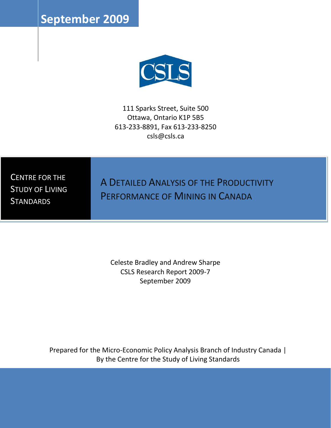**September** 2009



111 Sparks Street, Suite 500 Ottawa, Ontario K1P 5B5 613-233-8891, Fax 613-233-8250 csls@csls.ca

CENTRE FOR THE STUDY OF LIVING **STANDARDS** 

A DETAILED ANALYSIS OF THE PRODUCTIVITY PERFORMANCE OF MINING IN CANADA

Celeste Bradley and Andrew Sharpe CSLS Research Report 2009-7 September 2009

Prepared for the Micro-Economic Policy Analysis Branch of Industry Canada | By the Centre for the Study of Living Standards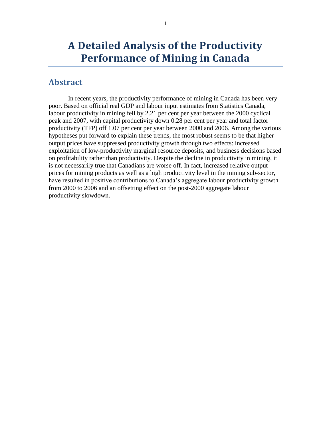# **A Detailed Analysis of the Productivity Performance of Mining in Canada**

# <span id="page-1-0"></span>**Abstract**

In recent years, the productivity performance of mining in Canada has been very poor. Based on official real GDP and labour input estimates from Statistics Canada, labour productivity in mining fell by 2.21 per cent per year between the 2000 cyclical peak and 2007, with capital productivity down 0.28 per cent per year and total factor productivity (TFP) off 1.07 per cent per year between 2000 and 2006. Among the various hypotheses put forward to explain these trends, the most robust seems to be that higher output prices have suppressed productivity growth through two effects: increased exploitation of low-productivity marginal resource deposits, and business decisions based on profitability rather than productivity. Despite the decline in productivity in mining, it is not necessarily true that Canadians are worse off. In fact, increased relative output prices for mining products as well as a high productivity level in the mining sub-sector, have resulted in positive contributions to Canada"s aggregate labour productivity growth from 2000 to 2006 and an offsetting effect on the post-2000 aggregate labour productivity slowdown.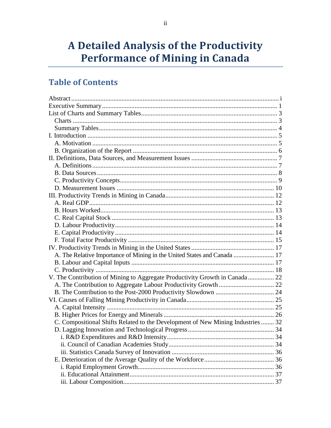# A Detailed Analysis of the Productivity **Performance of Mining in Canada**

# **Table of Contents**

| A. The Relative Importance of Mining in the United States and Canada  17        |  |
|---------------------------------------------------------------------------------|--|
|                                                                                 |  |
|                                                                                 |  |
| V. The Contribution of Mining to Aggregate Productivity Growth in Canada  22    |  |
|                                                                                 |  |
|                                                                                 |  |
|                                                                                 |  |
|                                                                                 |  |
|                                                                                 |  |
| C. Compositional Shifts Related to the Development of New Mining Industries  32 |  |
|                                                                                 |  |
|                                                                                 |  |
|                                                                                 |  |
|                                                                                 |  |
|                                                                                 |  |
|                                                                                 |  |
|                                                                                 |  |
|                                                                                 |  |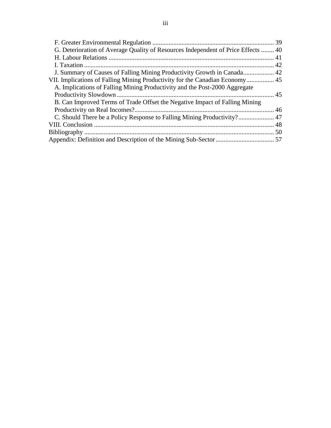| G. Deterioration of Average Quality of Resources Independent of Price Effects  40 |  |
|-----------------------------------------------------------------------------------|--|
|                                                                                   |  |
|                                                                                   |  |
|                                                                                   |  |
| VII. Implications of Falling Mining Productivity for the Canadian Economy 45      |  |
| A. Implications of Falling Mining Productivity and the Post-2000 Aggregate        |  |
|                                                                                   |  |
| B. Can Improved Terms of Trade Offset the Negative Impact of Falling Mining       |  |
|                                                                                   |  |
|                                                                                   |  |
|                                                                                   |  |
|                                                                                   |  |
|                                                                                   |  |
|                                                                                   |  |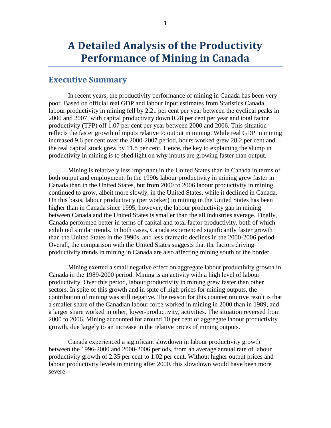# **A Detailed Analysis of the Productivity Performance of Mining in Canada**

# <span id="page-4-0"></span>**Executive Summary**

In recent years, the productivity performance of mining in Canada has been very poor. Based on official real GDP and labour input estimates from Statistics Canada, labour productivity in mining fell by 2.21 per cent per year between the cyclical peaks in 2000 and 2007, with capital productivity down 0.28 per cent per year and total factor productivity (TFP) off 1.07 per cent per year between 2000 and 2006. This situation reflects the faster growth of inputs relative to output in mining. While real GDP in mining increased 9.6 per cent over the 2000-2007 period, hours worked grew 28.2 per cent and the real capital stock grew by 11.8 per cent. Hence, the key to explaining the slump in productivity in mining is to shed light on why inputs are growing faster than output.

Mining is relatively less important in the United States than in Canada in terms of both output and employment. In the 1990s labour productivity in mining grew faster in Canada than in the United States, but from 2000 to 2006 labour productivity in mining continued to grow, albeit more slowly, in the United States, while it declined in Canada. On this basis, labour productivity (per worker) in mining in the United States has been higher than in Canada since 1995, however, the labour productivity gap in mining between Canada and the United States is smaller than the all industries average. Finally, Canada performed better in terms of capital and total factor productivity, both of which exhibited similar trends. In both cases, Canada experienced significantly faster growth than the United States in the 1990s, and less dramatic declines in the 2000-2006 period. Overall, the comparison with the United States suggests that the factors driving productivity trends in mining in Canada are also affecting mining south of the border.

Mining exerted a small negative effect on aggregate labour productivity growth in Canada in the 1989-2000 period. Mining is an activity with a high level of labour productivity. Over this period, labour productivity in mining grew faster than other sectors. In spite of this growth and in spite of high prices for mining outputs, the contribution of mining was still negative. The reason for this counterintuitive result is that a smaller share of the Canadian labour force worked in mining in 2000 than in 1989, and a larger share worked in other, lower-productivity, activities. The situation reversed from 2000 to 2006. Mining accounted for around 10 per cent of aggregate labour productivity growth, due largely to an increase in the relative prices of mining outputs.

Canada experienced a significant slowdown in labour productivity growth between the 1996-2000 and 2000-2006 periods, from an average annual rate of labour productivity growth of 2.35 per cent to 1.02 per cent. Without higher output prices and labour productivity levels in mining after 2000, this slowdown would have been more severe.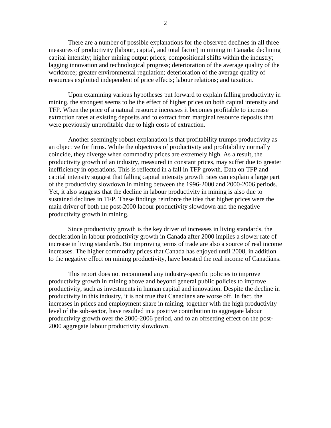There are a number of possible explanations for the observed declines in all three measures of productivity (labour, capital, and total factor) in mining in Canada: declining capital intensity; higher mining output prices; compositional shifts within the industry; lagging innovation and technological progress; deterioration of the average quality of the workforce; greater environmental regulation; deterioration of the average quality of resources exploited independent of price effects; labour relations; and taxation.

Upon examining various hypotheses put forward to explain falling productivity in mining, the strongest seems to be the effect of higher prices on both capital intensity and TFP. When the price of a natural resource increases it becomes profitable to increase extraction rates at existing deposits and to extract from marginal resource deposits that were previously unprofitable due to high costs of extraction.

Another seemingly robust explanation is that profitability trumps productivity as an objective for firms. While the objectives of productivity and profitability normally coincide, they diverge when commodity prices are extremely high. As a result, the productivity growth of an industry, measured in constant prices, may suffer due to greater inefficiency in operations. This is reflected in a fall in TFP growth. Data on TFP and capital intensity suggest that falling capital intensity growth rates can explain a large part of the productivity slowdown in mining between the 1996-2000 and 2000-2006 periods. Yet, it also suggests that the decline in labour productivity in mining is also due to sustained declines in TFP. These findings reinforce the idea that higher prices were the main driver of both the post-2000 labour productivity slowdown and the negative productivity growth in mining.

Since productivity growth is the key driver of increases in living standards, the deceleration in labour productivity growth in Canada after 2000 implies a slower rate of increase in living standards. But improving terms of trade are also a source of real income increases. The higher commodity prices that Canada has enjoyed until 2008, in addition to the negative effect on mining productivity, have boosted the real income of Canadians.

This report does not recommend any industry-specific policies to improve productivity growth in mining above and beyond general public policies to improve productivity, such as investments in human capital and innovation. Despite the decline in productivity in this industry, it is not true that Canadians are worse off. In fact, the increases in prices and employment share in mining, together with the high productivity level of the sub-sector, have resulted in a positive contribution to aggregate labour productivity growth over the 2000-2006 period, and to an offsetting effect on the post-2000 aggregate labour productivity slowdown.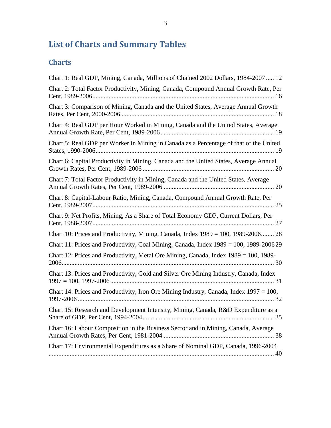# <span id="page-6-0"></span>**List of Charts and Summary Tables**

# <span id="page-6-1"></span>**Charts**

| Chart 1: Real GDP, Mining, Canada, Millions of Chained 2002 Dollars, 1984-2007  12     |
|----------------------------------------------------------------------------------------|
| Chart 2: Total Factor Productivity, Mining, Canada, Compound Annual Growth Rate, Per   |
| Chart 3: Comparison of Mining, Canada and the United States, Average Annual Growth     |
| Chart 4: Real GDP per Hour Worked in Mining, Canada and the United States, Average     |
| Chart 5: Real GDP per Worker in Mining in Canada as a Percentage of that of the United |
| Chart 6: Capital Productivity in Mining, Canada and the United States, Average Annual  |
| Chart 7: Total Factor Productivity in Mining, Canada and the United States, Average    |
| Chart 8: Capital-Labour Ratio, Mining, Canada, Compound Annual Growth Rate, Per        |
| Chart 9: Net Profits, Mining, As a Share of Total Economy GDP, Current Dollars, Per    |
| Chart 10: Prices and Productivity, Mining, Canada, Index 1989 = 100, 1989-2006 28      |
| Chart 11: Prices and Productivity, Coal Mining, Canada, Index 1989 = 100, 1989-200629  |
| Chart 12: Prices and Productivity, Metal Ore Mining, Canada, Index 1989 = 100, 1989-   |
| Chart 13: Prices and Productivity, Gold and Silver Ore Mining Industry, Canada, Index  |
| Chart 14: Prices and Productivity, Iron Ore Mining Industry, Canada, Index 1997 = 100, |
| Chart 15: Research and Development Intensity, Mining, Canada, R&D Expenditure as a     |
| Chart 16: Labour Composition in the Business Sector and in Mining, Canada, Average     |
| Chart 17: Environmental Expenditures as a Share of Nominal GDP, Canada, 1996-2004      |
|                                                                                        |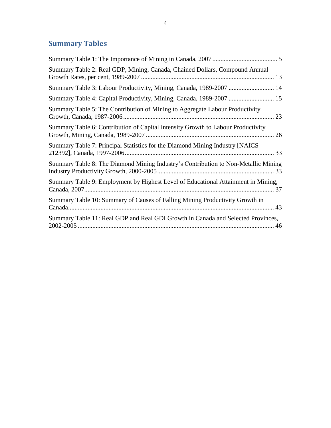# <span id="page-7-0"></span>**Summary Tables**

| Summary Table 2: Real GDP, Mining, Canada, Chained Dollars, Compound Annual        |    |
|------------------------------------------------------------------------------------|----|
| Summary Table 3: Labour Productivity, Mining, Canada, 1989-2007  14                |    |
| Summary Table 4: Capital Productivity, Mining, Canada, 1989-2007  15               |    |
| Summary Table 5: The Contribution of Mining to Aggregate Labour Productivity       |    |
| Summary Table 6: Contribution of Capital Intensity Growth to Labour Productivity   | 26 |
| Summary Table 7: Principal Statistics for the Diamond Mining Industry [NAICS       |    |
| Summary Table 8: The Diamond Mining Industry's Contribution to Non-Metallic Mining |    |
| Summary Table 9: Employment by Highest Level of Educational Attainment in Mining,  |    |
| Summary Table 10: Summary of Causes of Falling Mining Productivity Growth in       |    |
| Summary Table 11: Real GDP and Real GDI Growth in Canada and Selected Provinces,   |    |
|                                                                                    |    |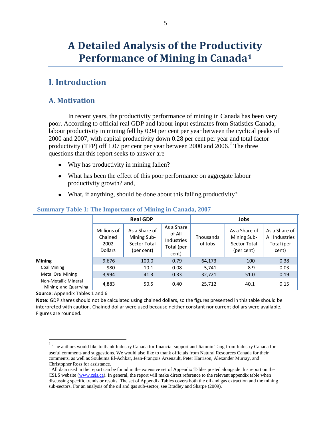# **A Detailed Analysis of the Productivity Performance of Mining in Canada<sup>1</sup>**

# <span id="page-8-0"></span>**I. Introduction**

# <span id="page-8-1"></span>**A. Motivation**

In recent years, the productivity performance of mining in Canada has been very poor. According to official real GDP and labour input estimates from Statistics Canada, labour productivity in mining fell by 0.94 per cent per year between the cyclical peaks of 2000 and 2007, with capital productivity down 0.28 per cent per year and total factor productivity (TFP) off  $1.07$  per cent per year between 2000 and 2006.<sup>2</sup> The three questions that this report seeks to answer are

- Why has productivity in mining fallen?
- What has been the effect of this poor performance on aggregate labour productivity growth? and,
- What, if anything, should be done about this falling productivity?

|                                              |                                                  | <b>Real GDP</b>                                                   |                                                                  | Jobs                 |                                                            |                                                        |  |
|----------------------------------------------|--------------------------------------------------|-------------------------------------------------------------------|------------------------------------------------------------------|----------------------|------------------------------------------------------------|--------------------------------------------------------|--|
|                                              | Millions of<br>Chained<br>2002<br><b>Dollars</b> | As a Share of<br>Mining Sub-<br><b>Sector Total</b><br>(per cent) | As a Share<br>of All<br><b>Industries</b><br>Total (per<br>cent) | Thousands<br>of Jobs | As a Share of<br>Mining Sub-<br>Sector Total<br>(per cent) | As a Share of<br>All Industries<br>Total (per<br>cent) |  |
| <b>Mining</b>                                | 9,676                                            | 100.0                                                             | 0.79                                                             | 64,173               | 100                                                        | 0.38                                                   |  |
| Coal Mining                                  | 980                                              | 10.1                                                              | 0.08                                                             | 5,741                | 8.9                                                        | 0.03                                                   |  |
| Metal Ore Mining                             | 3,994                                            | 41.3                                                              | 0.33                                                             | 32,721               | 51.0                                                       | 0.19                                                   |  |
| Non-Metallic Mineral<br>Mining and Quarrying | 4,883<br>$\sim$                                  | 50.5                                                              | 0.40                                                             | 25,712               | 40.1                                                       | 0.15                                                   |  |

#### <span id="page-8-2"></span>**Summary Table 1: The Importance of Mining in Canada, 2007**

**Source:** Appendix Tables 1 and 6

 $\overline{a}$ 

**Note:** GDP shares should not be calculated using chained dollars, so the figures presented in this table should be interpreted with caution. Chained dollar were used because neither constant nor current dollars were available. Figures are rounded.

<sup>&</sup>lt;sup>1</sup> The authors would like to thank Industry Canada for financial support and Jianmin Tang from Industry Canada for useful comments and suggestions. We would also like to thank officials from Natural Resources Canada for their comments, as well as Souleima El-Achkar, Jean-François Arsenault, Peter Harrison, Alexander Murray, and Christopher Ross for assistance.

<sup>&</sup>lt;sup>2</sup> All data used in the report can be found in the extensive set of Appendix Tables posted alongside this report on the CSLS website [\(www.csls.ca\)](http://www.csls.ca/). In general, the report will make direct reference to the relevant appendix table when discussing specific trends or results. The set of Appendix Tables covers both the oil and gas extraction and the mining sub-sectors. For an analysis of the oil and gas sub-sector, see Bradley and Sharpe (2009).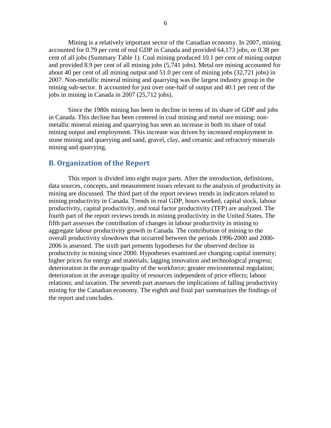Mining is a relatively important sector of the Canadian economy. In 2007, mining accounted for 0.79 per cent of real GDP in Canada and provided 64,173 jobs, or 0.38 per cent of all jobs [\(Summary Table 1\)](#page-8-2). Coal mining produced 10.1 per cent of mining output and provided 8.9 per cent of all mining jobs (5,741 jobs). Metal ore mining accounted for about 40 per cent of all mining output and 51.0 per cent of mining jobs (32,721 jobs) in 2007. Non-metallic mineral mining and quarrying was the largest industry group in the mining sub-sector. It accounted for just over one-half of output and 40.1 per cent of the jobs in mining in Canada in 2007 (25,712 jobs).

Since the 1980s mining has been in decline in terms of its share of GDP and jobs in Canada. This decline has been centered in coal mining and metal ore mining; nonmetallic mineral mining and quarrying has seen an increase in both its share of total mining output and employment. This increase was driven by increased employment in stone mining and quarrying and sand, gravel, clay, and ceramic and refractory minerals mining and quarrying.

#### <span id="page-9-0"></span>**B. Organization of the Report**

This report is divided into eight major parts. After the introduction, definitions, data sources, concepts, and measurement issues relevant to the analysis of productivity in mining are discussed. The third part of the report reviews trends in indicators related to mining productivity in Canada. Trends in real GDP, hours worked, capital stock, labour productivity, capital productivity, and total factor productivity (TFP) are analyzed. The fourth part of the report reviews trends in mining productivity in the United States. The fifth part assesses the contribution of changes in labour productivity in mining to aggregate labour productivity growth in Canada. The contribution of mining to the overall productivity slowdown that occurred between the periods 1996-2000 and 2000- 2006 is assessed. The sixth part presents hypotheses for the observed decline in productivity in mining since 2000. Hypotheses examined are changing capital intensity; higher prices for energy and materials; lagging innovation and technological progress; deterioration in the average quality of the workforce; greater environmental regulation; deterioration in the average quality of resources independent of price effects; labour relations; and taxation. The seventh part assesses the implications of falling productivity mining for the Canadian economy. The eighth and final part summarizes the findings of the report and concludes.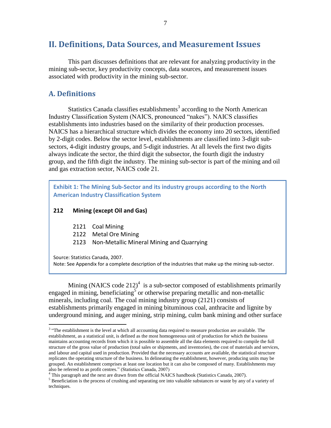# <span id="page-10-0"></span>**II. Definitions, Data Sources, and Measurement Issues**

This part discusses definitions that are relevant for analyzing productivity in the mining sub-sector, key productivity concepts, data sources, and measurement issues associated with productivity in the mining sub-sector.

### <span id="page-10-1"></span>**A. Definitions**

Statistics Canada classifies establishments<sup>3</sup> according to the North American Industry Classification System (NAICS, pronounced "nakes"). NAICS classifies establishments into industries based on the similarity of their production processes. NAICS has a hierarchical structure which divides the economy into 20 sectors, identified by 2-digit codes. Below the sector level, establishments are classified into 3-digit subsectors, 4-digit industry groups, and 5-digit industries. At all levels the first two digits always indicate the sector, the third digit the subsector, the fourth digit the industry group, and the fifth digit the industry. The mining sub-sector is part of the mining and oil and gas extraction sector, NAICS code 21.

**Exhibit 1: The Mining Sub-Sector and its industry groups according to the North American Industry Classification System**

#### **212 Mining (except Oil and Gas)**

| 2121 |  | <b>Coal Mining</b> |
|------|--|--------------------|
|------|--|--------------------|

 $\overline{a}$ 

2122 Metal Ore Mining

2123 Non-Metallic Mineral Mining and Quarrying

Source: Statistics Canada, 2007. Note: See Appendix for a complete description of the industries that make up the mining sub-sector.

Mining (NAICS code 212)<sup>4</sup> is a sub-sector composed of establishments primarily engaged in mining, beneficiating  $\sin$  or otherwise preparing metallic and non-metallic minerals, including coal. The coal mining industry group (2121) consists of establishments primarily engaged in mining bituminous coal, anthracite and lignite by underground mining, and auger mining, strip mining, culm bank mining and other surface

<sup>&</sup>lt;sup>3</sup> "The establishment is the level at which all accounting data required to measure production are available. The establishment, as a statistical unit, is defined as the most homogeneous unit of production for which the business maintains accounting records from which it is possible to assemble all the data elements required to compile the full structure of the gross value of production (total sales or shipments, and inventories), the cost of materials and services, and labour and capital used in production. Provided that the necessary accounts are available, the statistical structure replicates the operating structure of the business. In delineating the establishment, however, producing units may be grouped. An establishment comprises at least one location but it can also be composed of many. Establishments may also be referred to as profit centres." (Statistics Canada, 2007)

<sup>&</sup>lt;sup>4</sup> This paragraph and the next are drawn from the official NAICS handbook (Statistics Canada, 2007).

<sup>&</sup>lt;sup>5</sup> Beneficiation is the process of crushing and separating ore into valuable substances or waste by any of a variety of techniques.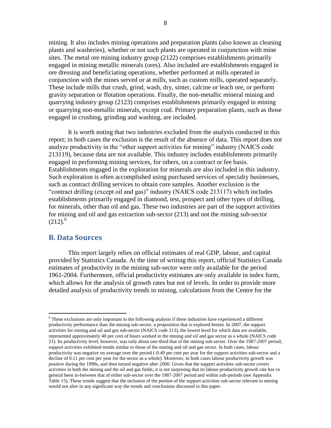mining. It also includes mining operations and preparation plants (also known as cleaning plants and washeries), whether or not such plants are operated in conjunction with mine sites. The metal ore mining industry group (2122) comprises establishments primarily engaged in mining metallic minerals (ores). Also included are establishments engaged in ore dressing and beneficiating operations, whether performed at mills operated in conjunction with the mines served or at mills, such as custom mills, operated separately. These include mills that crush, grind, wash, dry, sinter, calcine or leach ore, or perform gravity separation or flotation operations. Finally, the non-metallic mineral mining and quarrying industry group (2123) comprises establishments primarily engaged in mining or quarrying non-metallic minerals, except coal. Primary preparation plants, such as those engaged in crushing, grinding and washing, are included.

It is worth noting that two industries excluded from the analysis conducted in this report; in both cases the exclusion is the result of the absence of data. This report does not analyze productivity in the "other support activities for mining" industry (NAICS code 213119), because data are not available. This industry includes establishments primarily engaged in performing mining services, for others, on a contract or fee basis. Establishments engaged in the exploration for minerals are also included in this industry. Such exploration is often accomplished using purchased services of specialty businesses, such as contract drilling services to obtain core samples. Another exclusion is the "contract drilling (except oil and gas)" industry (NAICS code 213117) which includes establishments primarily engaged in diamond, test, prospect and other types of drilling, for minerals, other than oil and gas. These two industries are part of the support activities for mining and oil and gas extraction sub-sector (213) and not the mining sub-sector  $(212)^{6}$ 

#### <span id="page-11-0"></span>**B. Data Sources**

 $\overline{a}$ 

This report largely relies on official estimates of real GDP, labour, and capital provided by Statistics Canada. At the time of writing this report, official Statistics Canada estimates of productivity in the mining sub-sector were only available for the period 1961-2004. Furthermore, official productivity estimates are only available in index form, which allows for the analysis of growth rates but not of levels. In order to provide more detailed analysis of productivity trends in mining, calculations from the Centre for the

<sup>6</sup> These exclusions are only important to the following analysis if these industries have experienced a different productivity performance than the mining sub-sector, a proposition that is explored herein. In 2007, the support activities for mining and oil and gas sub-sector (NAICS code 213), the lowest level for which data are available, represented approximately 40 per cent of hours worked in the mining and oil and gas sector as a whole (NAICS code 21). Its productivity level, however, was only about one-third that of the mining sub-sector. Over the 1987-2007 period, support activities exhibited trends similar to those of the mining and oil and gas sector. In both cases, labour productivity was negative on average over the period (-0.49 per cent per year for the support activities sub-sector and a decline of 0.11 per cent per year for the sector as a whole). Moreover, in both cases labour productivity growth was positive during the 1990s, and then turned negative after 2000. Given that the support activities sub-sector covers activities in both the mining and the oil and gas fields, it is not surprising that its labour productivity growth rate has in general been in-between that of either sub-sector over the 1987-2007 period and within sub-periods (see Appendix Table 15). These trends suggest that the inclusion of the portion of the support activities sub-sector relevant to mining would not alter in any significant way the trends and conclusions discussed in this paper.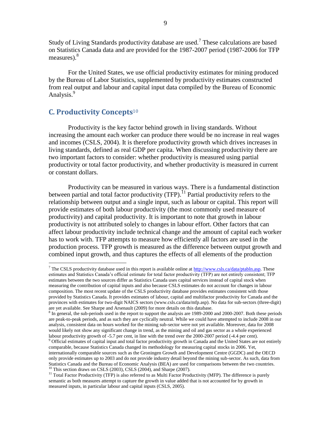Study of Living Standards productivity database are used.<sup>7</sup> These calculations are based on Statistics Canada data and are provided for the 1987-2007 period (1987-2006 for TFP measures). $8<sup>8</sup>$ 

For the United States, we use official productivity estimates for mining produced by the Bureau of Labor Statistics, supplemented by productivity estimates constructed from real output and labour and capital input data compiled by the Bureau of Economic Analysis.<sup>9</sup>

# <span id="page-12-0"></span>**C. Productivity Concepts**<sup>10</sup>

 $\overline{a}$ 

Productivity is the key factor behind growth in living standards. Without increasing the amount each worker can produce there would be no increase in real wages and incomes (CSLS, 2004). It is therefore productivity growth which drives increases in living standards, defined as real GDP per capita. When discussing productivity there are two important factors to consider: whether productivity is measured using partial productivity or total factor productivity, and whether productivity is measured in current or constant dollars.

Productivity can be measured in various ways. There is a fundamental distinction between partial and total factor productivity (TFP).<sup> $11$ </sup> Partial productivity refers to the relationship between output and a single input, such as labour or capital. This report will provide estimates of both labour productivity (the most commonly used measure of productivity) and capital productivity. It is important to note that growth in labour productivity is not attributed solely to changes in labour effort. Other factors that can affect labour productivity include technical change and the amount of capital each worker has to work with. TFP attempts to measure how efficiently all factors are used in the production process. TFP growth is measured as the difference between output growth and combined input growth, and thus captures the effects of all elements of the production

<sup>&</sup>lt;sup>7</sup> The CSLS productivity database used in this report is available online at  $\frac{http://www.csls.ca/data/ptabln.asp.}$  These estimates and Statistics Canada"s official estimate for total factor productivity (TFP) are not entirely consistent; TFP estimates between the two sources differ as Statistics Canada uses capital services instead of capital stock when measuring the contribution of capital inputs and also because CSLS estimates do not account for changes in labour composition. The most recent update of the CSLS productivity database provides estimates consistent with those provided by Statistics Canada. It provides estimates of labour, capital and multifactor productivity for Canada and the provinces with estimates for two-digit NAICS sectors (www.csls.ca/data/mfp.asp). No data for sub-sectors (three-digit) are yet available. See Sharpe and Arsenault (2009) for more details on this database.

<sup>&</sup>lt;sup>8</sup> In general, the sub-periods used in the report to support the analysis are 1989-2000 and 2000-2007. Both these periods are peak-to-peak periods, and as such they are cyclically neutral. While we could have attempted to include 2008 in our analysis, consistent data on hours worked for the mining sub-sector were not yet available. Moreover, data for 2008 would likely not show any significant change in trend, as the mining and oil and gas sector as a whole experienced labour productivity growth of -5.7 per cent, in line with the trend over the 2000-2007 period (-4.4 per cent).

<sup>&</sup>lt;sup>9</sup> Official estimates of capital input and total factor productivity growth in Canada and the United States are not entirely comparable, because Statistics Canada changed its methodology for measuring capital stocks in 2006. Yet, internationally comparable sources such as the Groningen Growth and Development Centre (GGDC) and the OECD only provide estimates up to 2003 and do not provide industry detail beyond the mining sub-sector. As such, data from Statistics Canada and the Bureau of Economic Analysis (BEA) are used for comparisons between the two countries.  $10$  This section draws on CSLS (2003), CSLS (2004), and Sharpe (2007).

 $11$  Total Factor Productivity (TFP) is also referred to as Multi Factor Productivity (MFP). The difference is purely semantic as both measures attempt to capture the growth in value added that is not accounted for by growth in measured inputs, in particular labour and capital inputs (CSLS, 2005).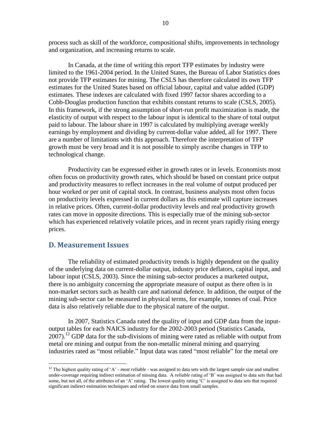process such as skill of the workforce, compositional shifts, improvements in technology and organization, and increasing returns to scale.

In Canada, at the time of writing this report TFP estimates by industry were limited to the 1961-2004 period. In the United States, the Bureau of Labor Statistics does not provide TFP estimates for mining. The CSLS has therefore calculated its own TFP estimates for the United States based on official labour, capital and value added (GDP) estimates. These indexes are calculated with fixed 1997 factor shares according to a Cobb-Douglas production function that exhibits constant returns to scale (CSLS, 2005). In this framework, if the strong assumption of short-run profit maximization is made, the elasticity of output with respect to the labour input is identical to the share of total output paid to labour. The labour share in 1997 is calculated by multiplying average weekly earnings by employment and dividing by current-dollar value added, all for 1997. There are a number of limitations with this approach. Therefore the interpretation of TFP growth must be very broad and it is not possible to simply ascribe changes in TFP to technological change.

Productivity can be expressed either in growth rates or in levels. Economists most often focus on productivity growth rates, which should be based on constant price output and productivity measures to reflect increases in the real volume of output produced per hour worked or per unit of capital stock. In contrast, business analysts most often focus on productivity levels expressed in current dollars as this estimate will capture increases in relative prices. Often, current-dollar productivity levels and real productivity growth rates can move in opposite directions. This is especially true of the mining sub-sector which has experienced relatively volatile prices, and in recent years rapidly rising energy prices.

#### <span id="page-13-0"></span>**D. Measurement Issues**

 $\overline{a}$ 

The reliability of estimated productivity trends is highly dependent on the quality of the underlying data on current-dollar output, industry price deflators, capital input, and labour input (CSLS, 2003). Since the mining sub-sector produces a marketed output, there is no ambiguity concerning the appropriate measure of output as there often is in non-market sectors such as health care and national defence. In addition, the output of the mining sub-sector can be measured in physical terms, for example, tonnes of coal. Price data is also relatively reliable due to the physical nature of the output.

In 2007, Statistics Canada rated the quality of input and GDP data from the inputoutput tables for each NAICS industry for the 2002-2003 period (Statistics Canada,  $2007$ ).<sup>12</sup> GDP data for the sub-divisions of mining were rated as reliable with output from metal ore mining and output from the non-metallic mineral mining and quarrying industries rated as "most reliable." Input data was rated "most reliable" for the metal ore

<sup>&</sup>lt;sup>12</sup> The highest quality rating of 'A' - *most reliable* - was assigned to data sets with the largest sample size and smallest under-coverage requiring indirect estimation of missing data. A *reliable* rating of "B" was assigned to data sets that had some, but not all, of the attributes of an "A" rating. The lowest quality rating "C" is assigned to data sets that required significant indirect estimation techniques and relied on source data from small samples.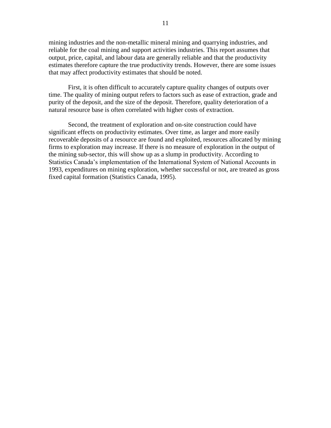mining industries and the non-metallic mineral mining and quarrying industries, and reliable for the coal mining and support activities industries. This report assumes that output, price, capital, and labour data are generally reliable and that the productivity estimates therefore capture the true productivity trends. However, there are some issues that may affect productivity estimates that should be noted.

First, it is often difficult to accurately capture quality changes of outputs over time. The quality of mining output refers to factors such as ease of extraction, grade and purity of the deposit, and the size of the deposit. Therefore, quality deterioration of a natural resource base is often correlated with higher costs of extraction.

Second, the treatment of exploration and on-site construction could have significant effects on productivity estimates. Over time, as larger and more easily recoverable deposits of a resource are found and exploited, resources allocated by mining firms to exploration may increase. If there is no measure of exploration in the output of the mining sub-sector, this will show up as a slump in productivity. According to Statistics Canada"s implementation of the International System of National Accounts in 1993, expenditures on mining exploration, whether successful or not, are treated as gross fixed capital formation (Statistics Canada, 1995).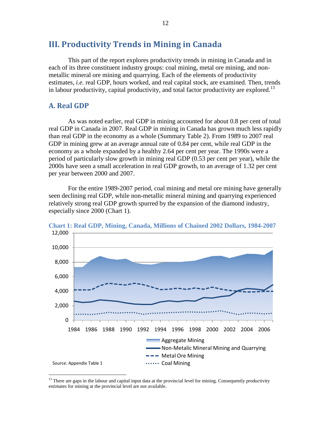# <span id="page-15-0"></span>**III. Productivity Trends in Mining in Canada**

This part of the report explores productivity trends in mining in Canada and in each of its three constituent industry groups: coal mining, metal ore mining, and nonmetallic mineral ore mining and quarrying. Each of the elements of productivity estimates, *i.e.* real GDP, hours worked, and real capital stock, are examined. Then, trends in labour productivity, capital productivity, and total factor productivity are explored.<sup>13</sup>

### <span id="page-15-1"></span>**A. Real GDP**

 $\overline{a}$ 

As was noted earlier, real GDP in mining accounted for about 0.8 per cent of total real GDP in Canada in 2007. Real GDP in mining in Canada has grown much less rapidly than real GDP in the economy as a whole [\(Summary Table 2\)](#page-16-2). From 1989 to 2007 real GDP in mining grew at an average annual rate of 0.84 per cent, while real GDP in the economy as a whole expanded by a healthy 2.64 per cent per year. The 1990s were a period of particularly slow growth in mining real GDP (0.53 per cent per year), while the 2000s have seen a small acceleration in real GDP growth, to an average of 1.32 per cent per year between 2000 and 2007.

For the entire 1989-2007 period, coal mining and metal ore mining have generally seen declining real GDP, while non-metallic mineral mining and quarrying experienced relatively strong real GDP growth spurred by the expansion of the diamond industry, especially since 2000 [\(Chart 1\)](#page-15-2).



<span id="page-15-2"></span>**Chart 1: Real GDP, Mining, Canada, Millions of Chained 2002 Dollars, 1984-2007**

 $13$  There are gaps in the labour and capital input data at the provincial level for mining. Consequently productivity estimates for mining at the provincial level are not available.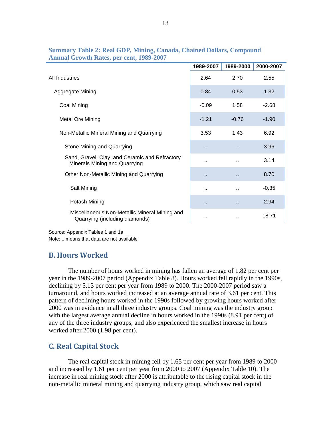| . .                                                                             | 1989-2007            | 1989-2000            | 2000-2007 |
|---------------------------------------------------------------------------------|----------------------|----------------------|-----------|
| All Industries                                                                  | 2.64                 | 2.70                 | 2.55      |
| Aggregate Mining                                                                | 0.84                 | 0.53                 | 1.32      |
| Coal Mining                                                                     | $-0.09$              | 1.58                 | $-2.68$   |
| <b>Metal Ore Mining</b>                                                         | $-1.21$              | $-0.76$              | $-1.90$   |
| Non-Metallic Mineral Mining and Quarrying                                       | 3.53                 | 1.43                 | 6.92      |
| Stone Mining and Quarrying                                                      | ٠.                   | ٠.                   | 3.96      |
| Sand, Gravel, Clay, and Ceramic and Refractory<br>Minerals Mining and Quarrying | $\ddot{\phantom{a}}$ |                      | 3.14      |
| Other Non-Metallic Mining and Quarrying                                         | $\ddot{\phantom{a}}$ |                      | 8.70      |
| Salt Mining                                                                     | ٠.                   | ٠.                   | $-0.35$   |
| Potash Mining                                                                   | $\ddot{\phantom{a}}$ | ٠.                   | 2.94      |
| Miscellaneous Non-Metallic Mineral Mining and<br>Quarrying (including diamonds) | $\cdot$ .            | $\ddot{\phantom{a}}$ | 18.71     |
|                                                                                 |                      |                      |           |

<span id="page-16-2"></span>**Summary Table 2: Real GDP, Mining, Canada, Chained Dollars, Compound Annual Growth Rates, per cent, 1989-2007**

Source: Appendix Tables 1 and 1a Note: .. means that data are not available

# <span id="page-16-0"></span>**B. Hours Worked**

The number of hours worked in mining has fallen an average of 1.82 per cent per year in the 1989-2007 period (Appendix Table 8). Hours worked fell rapidly in the 1990s, declining by 5.13 per cent per year from 1989 to 2000. The 2000-2007 period saw a turnaround, and hours worked increased at an average annual rate of 3.61 per cent. This pattern of declining hours worked in the 1990s followed by growing hours worked after 2000 was in evidence in all three industry groups. Coal mining was the industry group with the largest average annual decline in hours worked in the 1990s (8.91 per cent) of any of the three industry groups, and also experienced the smallest increase in hours worked after 2000 (1.98 per cent).

# <span id="page-16-1"></span>**C. Real Capital Stock**

The real capital stock in mining fell by 1.65 per cent per year from 1989 to 2000 and increased by 1.61 per cent per year from 2000 to 2007 (Appendix Table 10). The increase in real mining stock after 2000 is attributable to the rising capital stock in the non-metallic mineral mining and quarrying industry group, which saw real capital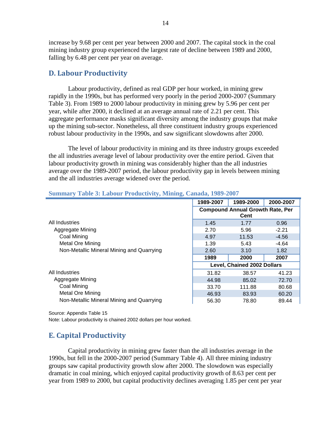increase by 9.68 per cent per year between 2000 and 2007. The capital stock in the coal mining industry group experienced the largest rate of decline between 1989 and 2000, falling by 6.48 per cent per year on average.

### <span id="page-17-0"></span>**D. Labour Productivity**

Labour productivity, defined as real GDP per hour worked, in mining grew rapidly in the 1990s, but has performed very poorly in the period 2000-2007 [\(Summary](#page-17-2)  [Table 3\)](#page-17-2). From 1989 to 2000 labour productivity in mining grew by 5.96 per cent per year, while after 2000, it declined at an average annual rate of 2.21 per cent. This aggregate performance masks significant diversity among the industry groups that make up the mining sub-sector. Nonetheless, all three constituent industry groups experienced robust labour productivity in the 1990s, and saw significant slowdowns after 2000.

The level of labour productivity in mining and its three industry groups exceeded the all industries average level of labour productivity over the entire period. Given that labour productivity growth in mining was considerably higher than the all industries average over the 1989-2007 period, the labour productivity gap in levels between mining and the all industries average widened over the period.

|                                           | 1989-2007                               | 1989-2000                          | 2000-2007 |  |
|-------------------------------------------|-----------------------------------------|------------------------------------|-----------|--|
|                                           | <b>Compound Annual Growth Rate, Per</b> |                                    |           |  |
|                                           |                                         | Cent                               |           |  |
| All Industries                            | 1.45                                    | 1.77                               | 0.96      |  |
| Aggregate Mining                          | 2.70                                    | 5.96                               | $-2.21$   |  |
| Coal Mining                               | 4.97                                    | 11.53                              | $-4.56$   |  |
| <b>Metal Ore Mining</b>                   | 1.39                                    | 5.43                               | $-4.64$   |  |
| Non-Metallic Mineral Mining and Quarrying | 2.60                                    | 3.10                               | 1.82      |  |
|                                           | 1989                                    | 2000                               | 2007      |  |
|                                           |                                         | <b>Level, Chained 2002 Dollars</b> |           |  |
| All Industries                            | 31.82                                   | 38.57                              | 41.23     |  |
| Aggregate Mining                          | 44.98                                   | 85.02                              | 72.70     |  |
| Coal Mining                               | 33.70                                   | 111.88                             | 80.68     |  |
| Metal Ore Mining                          | 46.93                                   | 83.93                              | 60.20     |  |
| Non-Metallic Mineral Mining and Quarrying | 56.30                                   | 78.80                              | 89.44     |  |

#### <span id="page-17-2"></span>**Summary Table 3: Labour Productivity, Mining, Canada, 1989-2007**

Source: Appendix Table 15 Note: Labour productivity is chained 2002 dollars per hour worked.

# <span id="page-17-1"></span>**E. Capital Productivity**

Capital productivity in mining grew faster than the all industries average in the 1990s, but fell in the 2000-2007 period [\(Summary Table 4\)](#page-18-1). All three mining industry groups saw capital productivity growth slow after 2000. The slowdown was especially dramatic in coal mining, which enjoyed capital productivity growth of 8.63 per cent per year from 1989 to 2000, but capital productivity declines averaging 1.85 per cent per year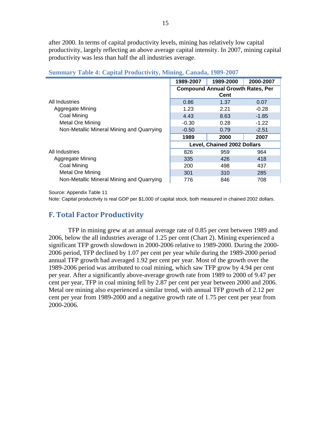after 2000. In terms of capital productivity levels, mining has relatively low capital productivity, largely reflecting an above average capital intensity. In 2007, mining capital productivity was less than half the all industries average.

|                                           | 07                                       |                                    |           |  |
|-------------------------------------------|------------------------------------------|------------------------------------|-----------|--|
|                                           | 1989-2007                                | 1989-2000                          | 2000-2007 |  |
|                                           | <b>Compound Annual Growth Rates, Per</b> |                                    |           |  |
|                                           |                                          | Cent                               |           |  |
| All Industries                            | 0.86                                     | 1.37                               | 0.07      |  |
| Aggregate Mining                          | 1.23                                     | 2.21                               | $-0.28$   |  |
| Coal Mining                               | 4.43                                     | 8.63                               | $-1.85$   |  |
| <b>Metal Ore Mining</b>                   | $-0.30$                                  | 0.28                               | $-1.22$   |  |
| Non-Metallic Mineral Mining and Quarrying | $-0.50$                                  | 0.79                               | $-2.51$   |  |
|                                           | 1989                                     | 2000                               | 2007      |  |
|                                           |                                          | <b>Level, Chained 2002 Dollars</b> |           |  |
| All Industries                            | 826                                      | 959                                | 964       |  |
| Aggregate Mining                          | 335                                      | 426                                | 418       |  |
| Coal Mining                               | 200                                      | 498                                | 437       |  |
| <b>Metal Ore Mining</b>                   | 301                                      | 310                                | 285       |  |
| Non-Metallic Mineral Mining and Quarrying | 776                                      | 846                                | 708       |  |

#### <span id="page-18-1"></span>**Summary Table 4: Capital Productivity, Mining, Canada, 1989-2007**

Source: Appendix Table 11

Note: Capital productivity is real GDP per \$1,000 of capital stock, both measured in chained 2002 dollars.

# <span id="page-18-0"></span>**F. Total Factor Productivity**

TFP in mining grew at an annual average rate of 0.85 per cent between 1989 and 2006, below the all industries average of 1.25 per cent [\(Chart 2\)](#page-19-0). Mining experienced a significant TFP growth slowdown in 2000-2006 relative to 1989-2000. During the 2000- 2006 period, TFP declined by 1.07 per cent per year while during the 1989-2000 period annual TFP growth had averaged 1.92 per cent per year. Most of the growth over the 1989-2006 period was attributed to coal mining, which saw TFP grow by 4.94 per cent per year. After a significantly above-average growth rate from 1989 to 2000 of 9.47 per cent per year, TFP in coal mining fell by 2.87 per cent per year between 2000 and 2006. Metal ore mining also experienced a similar trend, with annual TFP growth of 2.12 per cent per year from 1989-2000 and a negative growth rate of 1.75 per cent per year from 2000-2006.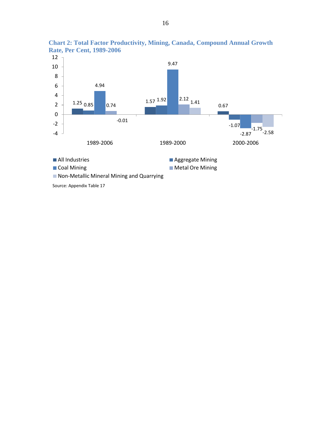

<span id="page-19-0"></span>**Chart 2: Total Factor Productivity, Mining, Canada, Compound Annual Growth Rate, Per Cent, 1989-2006**

Source: Appendix Table 17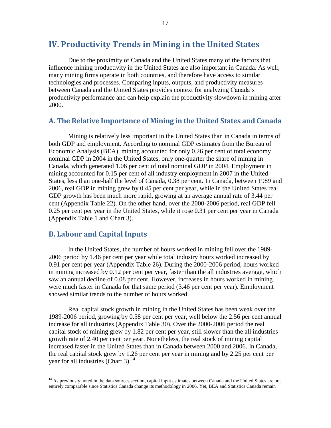# <span id="page-20-0"></span>**IV. Productivity Trends in Mining in the United States**

Due to the proximity of Canada and the United States many of the factors that influence mining productivity in the United States are also important in Canada. As well, many mining firms operate in both countries, and therefore have access to similar technologies and processes. Comparing inputs, outputs, and productivity measures between Canada and the United States provides context for analyzing Canada"s productivity performance and can help explain the productivity slowdown in mining after 2000.

### <span id="page-20-1"></span>**A. The Relative Importance of Mining in the United States and Canada**

Mining is relatively less important in the United States than in Canada in terms of both GDP and employment. According to nominal GDP estimates from the Bureau of Economic Analysis (BEA), mining accounted for only 0.26 per cent of total economy nominal GDP in 2004 in the United States, only one-quarter the share of mining in Canada, which generated 1.06 per cent of total nominal GDP in 2004. Employment in mining accounted for 0.15 per cent of all industry employment in 2007 in the United States, less than one-half the level of Canada, 0.38 per cent. In Canada, between 1989 and 2006, real GDP in mining grew by 0.45 per cent per year, while in the United States real GDP growth has been much more rapid, growing at an average annual rate of 3.44 per cent (Appendix Table 22). On the other hand, over the 2000-2006 period, real GDP fell 0.25 per cent per year in the United States, while it rose 0.31 per cent per year in Canada (Appendix Table 1 and [Chart 3\)](#page-21-1).

#### <span id="page-20-2"></span>**B. Labour and Capital Inputs**

 $\overline{a}$ 

In the United States, the number of hours worked in mining fell over the 1989- 2006 period by 1.46 per cent per year while total industry hours worked increased by 0.91 per cent per year (Appendix Table 26). During the 2000-2006 period, hours worked in mining increased by 0.12 per cent per year, faster than the all industries average, which saw an annual decline of 0.08 per cent. However, increases in hours worked in mining were much faster in Canada for that same period (3.46 per cent per year). Employment showed similar trends to the number of hours worked.

Real capital stock growth in mining in the United States has been weak over the 1989-2006 period, growing by 0.58 per cent per year, well below the 2.56 per cent annual increase for all industries (Appendix Table 30). Over the 2000-2006 period the real capital stock of mining grew by 1.82 per cent per year, still slower than the all industries growth rate of 2.40 per cent per year. Nonetheless, the real stock of mining capital increased faster in the United States than in Canada between 2000 and 2006. In Canada, the real capital stock grew by 1.26 per cent per year in mining and by 2.25 per cent per year for all industries [\(Chart 3\)](#page-21-1). $^{14}$ 

<sup>&</sup>lt;sup>14</sup> As previously noted in the data sources section, capital input estimates between Canada and the United States are not entirely comparable since Statistics Canada change its methodology in 2006. Yet, BEA and Statistics Canada remain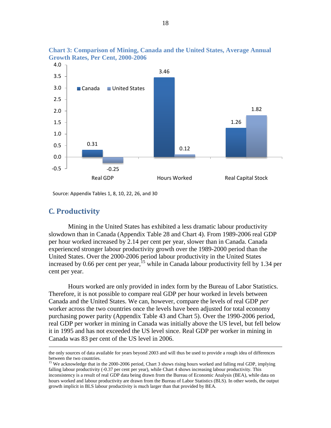

<span id="page-21-1"></span>**Chart 3: Comparison of Mining, Canada and the United States, Average Annual Growth Rates, Per Cent, 2000-2006**

Source: Appendix Tables 1, 8, 10, 22, 26, and 30

# <span id="page-21-0"></span>**C. Productivity**

 $\overline{a}$ 

Mining in the United States has exhibited a less dramatic labour productivity slowdown than in Canada (Appendix Table 28 and [Chart 4\)](#page-22-0). From 1989-2006 real GDP per hour worked increased by 2.14 per cent per year, slower than in Canada. Canada experienced stronger labour productivity growth over the 1989-2000 period than the United States. Over the 2000-2006 period labour productivity in the United States increased by 0.66 per cent per year,  $^{15}$  while in Canada labour productivity fell by 1.34 per cent per year.

Hours worked are only provided in index form by the Bureau of Labor Statistics. Therefore, it is not possible to compare real GDP per hour worked in levels between Canada and the United States. We can, however, compare the levels of real GDP *per*  worker across the two countries once the levels have been adjusted for total economy purchasing power parity (Appendix Table 43 and [Chart 5\)](#page-22-1). Over the 1990-2006 period, real GDP per worker in mining in Canada was initially above the US level, but fell below it in 1995 and has not exceeded the US level since. Real GDP per worker in mining in Canada was 83 per cent of the US level in 2006.

the only sources of data available for years beyond 2003 and will thus be used to provide a rough idea of differences between the two countries.

<sup>&</sup>lt;sup>15</sup> We acknowledge that in the 2000-2006 period[, Chart 3](#page-21-1) shows rising hours worked and falling real GDP, implying falling labour productivity (-0.37 per cent per year), while [Chart 4](#page-22-0) shows increasing labour productivity. This inconsistency is a result of real GDP data being drawn from the Bureau of Economic Analysis (BEA), while data on hours worked and labour productivity are drawn from the Bureau of Labor Statistics (BLS). In other words, the output growth implicit in BLS labour productivity is much larger than that provided by BEA.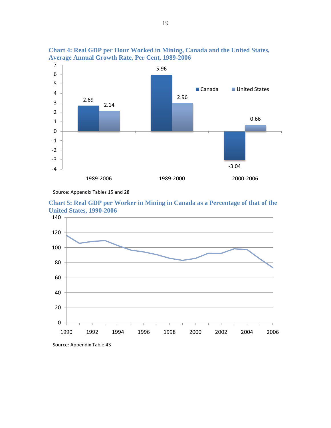

<span id="page-22-0"></span>**Chart 4: Real GDP per Hour Worked in Mining, Canada and the United States, Average Annual Growth Rate, Per Cent, 1989-2006**

Source: Appendix Tables 15 and 28



<span id="page-22-1"></span>**Chart 5: Real GDP per Worker in Mining in Canada as a Percentage of that of the United States, 1990-2006**

Source: Appendix Table 43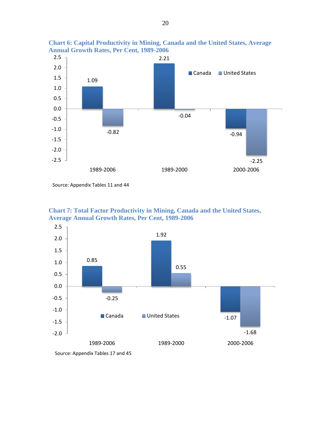

<span id="page-23-0"></span>**Chart 6: Capital Productivity in Mining, Canada and the United States, Average Annual Growth Rates, Per Cent, 1989-2006**

Source: Appendix Tables 11 and 44

<span id="page-23-1"></span>



Source: Appendix Tables 17 and 45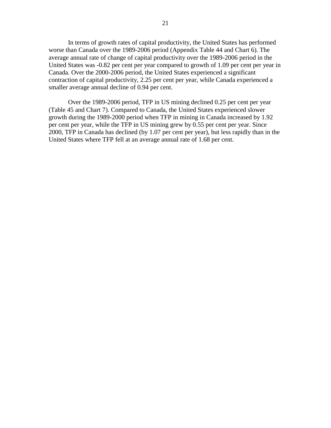In terms of growth rates of capital productivity, the United States has performed worse than Canada over the 1989-2006 period (Appendix Table 44 and [Chart 6\)](#page-23-0). The average annual rate of change of capital productivity over the 1989-2006 period in the United States was -0.82 per cent per year compared to growth of 1.09 per cent per year in Canada. Over the 2000-2006 period, the United States experienced a significant contraction of capital productivity, 2.25 per cent per year, while Canada experienced a smaller average annual decline of 0.94 per cent.

Over the 1989-2006 period, TFP in US mining declined 0.25 per cent per year (Table 45 and [Chart 7\)](#page-23-1). Compared to Canada, the United States experienced slower growth during the 1989-2000 period when TFP in mining in Canada increased by 1.92 per cent per year, while the TFP in US mining grew by 0.55 per cent per year. Since 2000, TFP in Canada has declined (by 1.07 per cent per year), but less rapidly than in the United States where TFP fell at an average annual rate of 1.68 per cent.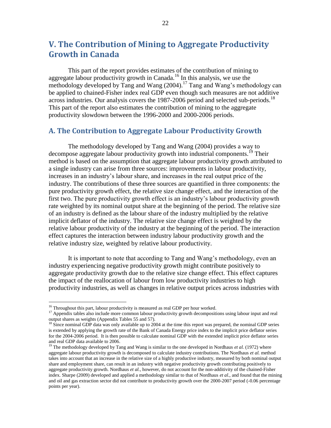# <span id="page-25-0"></span>**V. The Contribution of Mining to Aggregate Productivity Growth in Canada**

This part of the report provides estimates of the contribution of mining to aggregate labour productivity growth in Canada.<sup>16</sup> In this analysis, we use the methodology developed by Tang and Wang  $(2004)$ .<sup>17</sup> Tang and Wang's methodology can be applied to chained-Fisher index real GDP even though such measures are not additive across industries. Our analysis covers the 1987-2006 period and selected sub-periods.<sup>18</sup> This part of the report also estimates the contribution of mining to the aggregate productivity slowdown between the 1996-2000 and 2000-2006 periods.

# <span id="page-25-1"></span>**A. The Contribution to Aggregate Labour Productivity Growth**

The methodology developed by Tang and Wang (2004) provides a way to decompose aggregate labour productivity growth into industrial components.<sup>19</sup> Their method is based on the assumption that aggregate labour productivity growth attributed to a single industry can arise from three sources: improvements in labour productivity, increases in an industry"s labour share, and increases in the real output price of the industry. The contributions of these three sources are quantified in three components: the pure productivity growth effect, the relative size change effect, and the interaction of the first two. The pure productivity growth effect is an industry"s labour productivity growth rate weighted by its nominal output share at the beginning of the period. The relative size of an industry is defined as the labour share of the industry multiplied by the relative implicit deflator of the industry. The relative size change effect is weighted by the relative labour productivity of the industry at the beginning of the period. The interaction effect captures the interaction between industry labour productivity growth and the relative industry size, weighted by relative labour productivity.

It is important to note that according to Tang and Wang"s methodology, even an industry experiencing negative productivity growth might contribute positively to aggregate productivity growth due to the relative size change effect. This effect captures the impact of the reallocation of labour from low productivity industries to high productivity industries, as well as changes in relative output prices across industries with

 $\overline{a}$ 

<sup>&</sup>lt;sup>16</sup> Throughout this part, labour productivity is measured as real GDP per hour worked.

<sup>&</sup>lt;sup>17</sup> Appendix tables also include more common labour productivity growth decompositions using labour input and real output shares as weights (Appendix Tables 55 and 57).

<sup>&</sup>lt;sup>18</sup> Since nominal GDP data was only available up to 2004 at the time this report was prepared, the nominal GDP series is extended by applying the growth rate of the Bank of Canada Energy price index to the implicit price deflator series for the 2004-2006 period. It is then possible to calculate nominal GDP with the extended implicit price deflator series and real GDP data available to 2006.

<sup>&</sup>lt;sup>19</sup> The methodology developed by Tang and Wang is similar to the one developed in Nordhaus *et al.* (1972) where aggregate labour productivity growth is decomposed to calculate industry contributions. The Nordhaus *et al.* method takes into account that an increase in the relative size of a highly productive industry, measured by both nominal output share and employment share, can result in an industry with negative productivity growth contributing positively to aggregate productivity growth. Nordhaus *et al.*, however, do not account for the non-additivity of the chained-Fisher index. Sharpe (2009) developed and applied a methodology similar to that of Nordhaus *et al.*, and found that the mining and oil and gas extraction sector did not contribute to productivity growth over the 2000-2007 period (-0.06 percentage points per year).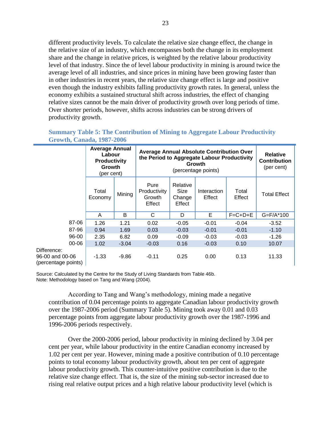different productivity levels. To calculate the relative size change effect, the change in the relative size of an industry, which encompasses both the change in its employment share and the change in relative prices, is weighted by the relative labour productivity level of that industry. Since the of level labour productivity in mining is around twice the average level of all industries, and since prices in mining have been growing faster than in other industries in recent years, the relative size change effect is large and positive even though the industry exhibits falling productivity growth rates. In general, unless the economy exhibits a sustained structural shift across industries, the effect of changing relative sizes cannot be the main driver of productivity growth over long periods of time. Over shorter periods, however, shifts across industries can be strong drivers of productivity growth.

<span id="page-26-0"></span>

| <b>Summary Table 5: The Contribution of Mining to Aggregate Labour Productivity</b> |  |  |
|-------------------------------------------------------------------------------------|--|--|
| <b>Growth, Canada, 1987-2006</b>                                                    |  |  |

|                                                       | <b>Average Annual</b><br>Labour<br><b>Productivity</b><br><b>Growth</b><br>(per cent) |         | the Period to Aggregate Labour Productivity |                                      | <b>Average Annual Absolute Contribution Over</b><br>Growth<br>(percentage points) |                 | <b>Relative</b><br><b>Contribution</b><br>(per cent) |
|-------------------------------------------------------|---------------------------------------------------------------------------------------|---------|---------------------------------------------|--------------------------------------|-----------------------------------------------------------------------------------|-----------------|------------------------------------------------------|
|                                                       | Total<br>Economy                                                                      | Mining  | Pure<br>Productivity<br>Growth<br>Effect    | Relative<br>Size<br>Change<br>Effect | Interaction<br>Effect                                                             | Total<br>Effect | <b>Total Effect</b>                                  |
|                                                       | A                                                                                     | B       | C                                           | D                                    | E                                                                                 | $F = C + D + E$ | $G = F/A*100$                                        |
| 87-06                                                 | 1.26                                                                                  | 1.21    | 0.02                                        | $-0.05$                              | $-0.01$                                                                           | $-0.04$         | $-3.52$                                              |
| 87-96                                                 | 0.94                                                                                  | 1.69    | 0.03                                        | $-0.03$                              | $-0.01$                                                                           | $-0.01$         | $-1.10$                                              |
| 96-00                                                 | 2.35                                                                                  | 6.82    | 0.09                                        | $-0.09$                              | $-0.03$                                                                           | $-0.03$         | $-1.26$                                              |
| $00 - 06$                                             | 1.02                                                                                  | $-3.04$ | $-0.03$                                     | 0.16                                 | $-0.03$                                                                           | 0.10            | 10.07                                                |
| Difference:<br>96-00 and 00-06<br>(percentage points) | $-1.33$                                                                               | -9.86   | $-0.11$                                     | 0.25                                 | 0.00                                                                              | 0.13            | 11.33                                                |

96-00 (percentage points)

Source: Calculated by the Centre for the Study of Living Standards from Table 46b. Note: Methodology based on Tang and Wang (2004).

According to Tang and Wang"s methodology, mining made a negative contribution of 0.04 percentage points to aggregate Canadian labour productivity growth over the 1987-2006 period [\(Summary Table 5\)](#page-26-0). Mining took away 0.01 and 0.03 percentage points from aggregate labour productivity growth over the 1987-1996 and 1996-2006 periods respectively.

Over the 2000-2006 period, labour productivity in mining declined by 3.04 per cent per year, while labour productivity in the entire Canadian economy increased by 1.02 per cent per year. However, mining made a positive contribution of 0.10 percentage points to total economy labour productivity growth, about ten per cent of aggregate labour productivity growth. This counter-intuitive positive contribution is due to the relative size change effect. That is, the size of the mining sub-sector increased due to rising real relative output prices and a high relative labour productivity level (which is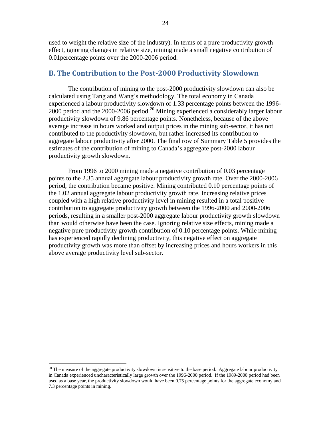used to weight the relative size of the industry). In terms of a pure productivity growth effect, ignoring changes in relative size, mining made a small negative contribution of 0.01percentage points over the 2000-2006 period.

#### <span id="page-27-0"></span>**B. The Contribution to the Post-2000 Productivity Slowdown**

The contribution of mining to the post-2000 productivity slowdown can also be calculated using Tang and Wang"s methodology. The total economy in Canada experienced a labour productivity slowdown of 1.33 percentage points between the 1996-  $2000$  period and the  $2000$ -2006 period.<sup>20</sup> Mining experienced a considerably larger labour productivity slowdown of 9.86 percentage points. Nonetheless, because of the above average increase in hours worked and output prices in the mining sub-sector, it has not contributed to the productivity slowdown, but rather increased its contribution to aggregate labour productivity after 2000. The final row of [Summary Table 5](#page-26-0) provides the estimates of the contribution of mining to Canada"s aggregate post-2000 labour productivity growth slowdown.

From 1996 to 2000 mining made a negative contribution of 0.03 percentage points to the 2.35 annual aggregate labour productivity growth rate. Over the 2000-2006 period, the contribution became positive. Mining contributed 0.10 percentage points of the 1.02 annual aggregate labour productivity growth rate. Increasing relative prices coupled with a high relative productivity level in mining resulted in a total positive contribution to aggregate productivity growth between the 1996-2000 and 2000-2006 periods, resulting in a smaller post-2000 aggregate labour productivity growth slowdown than would otherwise have been the case. Ignoring relative size effects, mining made a negative pure productivity growth contribution of 0.10 percentage points. While mining has experienced rapidly declining productivity, this negative effect on aggregate productivity growth was more than offset by increasing prices and hours workers in this above average productivity level sub-sector.

 $\overline{a}$ 

 $20$  The measure of the aggregate productivity slowdown is sensitive to the base period. Aggregate labour productivity in Canada experienced uncharacteristically large growth over the 1996-2000 period. If the 1989-2000 period had been used as a base year, the productivity slowdown would have been 0.75 percentage points for the aggregate economy and 7.3 percentage points in mining.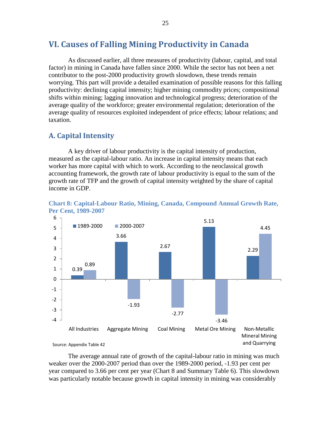# <span id="page-28-0"></span>**VI. Causes of Falling Mining Productivity in Canada**

As discussed earlier, all three measures of productivity (labour, capital, and total factor) in mining in Canada have fallen since 2000. While the sector has not been a net contributor to the post-2000 productivity growth slowdown, these trends remain worrying. This part will provide a detailed examination of possible reasons for this falling productivity: declining capital intensity; higher mining commodity prices; compositional shifts within mining; lagging innovation and technological progress; deterioration of the average quality of the workforce; greater environmental regulation; deterioration of the average quality of resources exploited independent of price effects; labour relations; and taxation.

### <span id="page-28-1"></span>**A. Capital Intensity**

A key driver of labour productivity is the capital intensity of production, measured as the capital-labour ratio. An increase in capital intensity means that each worker has more capital with which to work. According to the neoclassical growth accounting framework, the growth rate of labour productivity is equal to the sum of the growth rate of TFP and the growth of capital intensity weighted by the share of capital income in GDP.



<span id="page-28-2"></span>

#### Source: Appendix Table 42

The average annual rate of growth of the capital-labour ratio in mining was much weaker over the 2000-2007 period than over the 1989-2000 period, -1.93 per cent per year compared to 3.66 per cent per year [\(Chart 8](#page-28-2) and [Summary Table 6\)](#page-29-1). This slowdown was particularly notable because growth in capital intensity in mining was considerably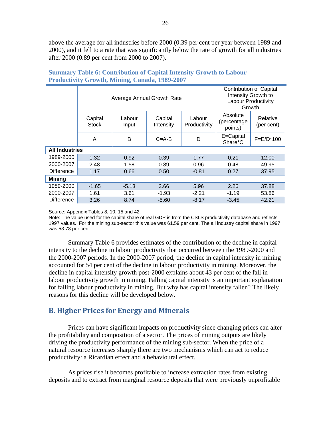above the average for all industries before 2000 (0.39 per cent per year between 1989 and 2000), and it fell to a rate that was significantly below the rate of growth for all industries after 2000 (0.89 per cent from 2000 to 2007).

|                       |                         | Average Annual Growth Rate | <b>Contribution of Capital</b><br>Intensity Growth to<br><b>Labour Productivity</b><br>Growth |                        |                                     |                        |  |  |
|-----------------------|-------------------------|----------------------------|-----------------------------------------------------------------------------------------------|------------------------|-------------------------------------|------------------------|--|--|
|                       | Capital<br><b>Stock</b> | Labour<br>Input            | Capital<br>Intensity                                                                          | Labour<br>Productivity | Absolute<br>(percentage)<br>points) | Relative<br>(per cent) |  |  |
|                       | A                       | B                          | $C \approx A - B$                                                                             | D                      | E=Capital<br>Share*C                | $F=E/D*100$            |  |  |
| <b>All Industries</b> |                         |                            |                                                                                               |                        |                                     |                        |  |  |
| 1989-2000             | 1.32                    | 0.92                       | 0.39                                                                                          | 1.77                   | 0.21                                | 12.00                  |  |  |
| 2000-2007             | 2.48                    | 1.58                       | 0.89                                                                                          | 0.96                   | 0.48                                | 49.95                  |  |  |
| <b>Difference</b>     | 1.17                    | 0.66                       | 0.50                                                                                          | $-0.81$                | 0.27                                | 37.95                  |  |  |
| <b>Mining</b>         |                         |                            |                                                                                               |                        |                                     |                        |  |  |
| 1989-2000             | $-1.65$                 | $-5.13$                    | 3.66                                                                                          | 5.96                   | 2.26                                | 37.88                  |  |  |
| 2000-2007             | 1.61                    | 3.61                       | $-1.93$                                                                                       | $-2.21$                | $-1.19$                             | 53.86                  |  |  |
| <b>Difference</b>     | 3.26                    | 8.74                       | $-5.60$                                                                                       | $-8.17$                | $-3.45$                             | 42.21                  |  |  |

# <span id="page-29-1"></span>**Summary Table 6: Contribution of Capital Intensity Growth to Labour Productivity Growth, Mining, Canada, 1989-2007**

Source: Appendix Tables 8, 10, 15 and 42.

Note: The value used for the capital share of real GDP is from the CSLS productivity database and reflects 1997 values. For the mining sub-sector this value was 61.59 per cent. The all industry capital share in 1997 was 53.78 per cent.

[Summary Table 6](#page-29-1) provides estimates of the contribution of the decline in capital intensity to the decline in labour productivity that occurred between the 1989-2000 and the 2000-2007 periods. In the 2000-2007 period, the decline in capital intensity in mining accounted for 54 per cent of the decline in labour productivity in mining. Moreover, the decline in capital intensity growth post-2000 explains about 43 per cent of the fall in labour productivity growth in mining. Falling capital intensity is an important explanation for falling labour productivity in mining. But why has capital intensity fallen? The likely reasons for this decline will be developed below.

# <span id="page-29-0"></span>**B. Higher Prices for Energy and Minerals**

Prices can have significant impacts on productivity since changing prices can alter the profitability and composition of a sector. The prices of mining outputs are likely driving the productivity performance of the mining sub-sector. When the price of a natural resource increases sharply there are two mechanisms which can act to reduce productivity: a Ricardian effect and a behavioural effect.

As prices rise it becomes profitable to increase extraction rates from existing deposits and to extract from marginal resource deposits that were previously unprofitable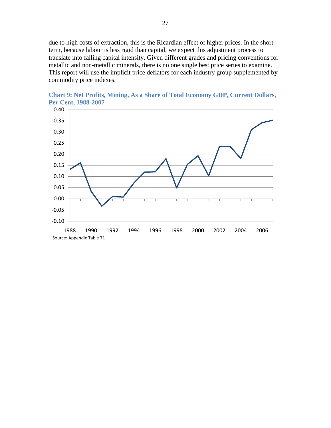due to high costs of extraction, this is the Ricardian effect of higher prices. In the shortterm, because labour is less rigid than capital, we expect this adjustment process to translate into falling capital intensity. Given different grades and pricing conventions for metallic and non-metallic minerals, there is no one single best price series to examine. This report will use the implicit price deflators for each industry group supplemented by commodity price indexes.



<span id="page-30-0"></span>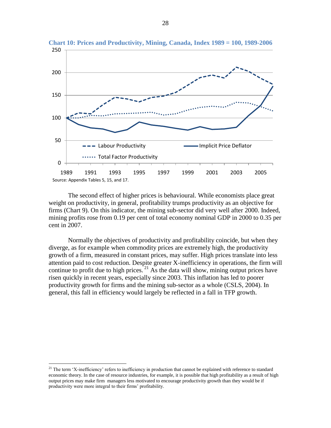

<span id="page-31-0"></span>**Chart 10: Prices and Productivity, Mining, Canada, Index 1989 = 100, 1989-2006**

The second effect of higher prices is behavioural. While economists place great weight on productivity, in general, profitability trumps productivity as an objective for firms [\(Chart 9\)](#page-30-0). On this indicator, the mining sub-sector did very well after 2000. Indeed, mining profits rose from 0.19 per cent of total economy nominal GDP in 2000 to 0.35 per cent in 2007.

Normally the objectives of productivity and profitability coincide, but when they diverge, as for example when commodity prices are extremely high, the productivity growth of a firm, measured in constant prices, may suffer. High prices translate into less attention paid to cost reduction. Despite greater X-inefficiency in operations, the firm will continue to profit due to high prices. <sup>21</sup> As the data will show, mining output prices have risen quickly in recent years, especially since 2003. This inflation has led to poorer productivity growth for firms and the mining sub-sector as a whole (CSLS, 2004). In general, this fall in efficiency would largely be reflected in a fall in TFP growth.

 $\overline{a}$ 

<sup>&</sup>lt;sup>21</sup> The term 'X-inefficiency' refers to inefficiency in production that cannot be explained with reference to standard economic theory. In the case of resource industries, for example, it is possible that high profitability as a result of high output prices may make firm managers less motivated to encourage productivity growth than they would be if productivity were more integral to their firms" profitability.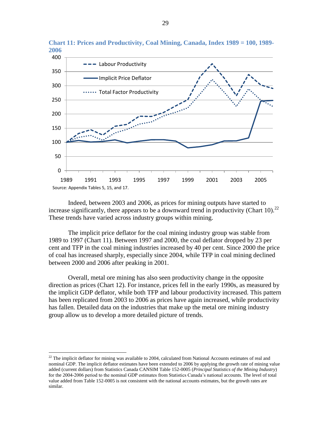

<span id="page-32-0"></span>**Chart 11: Prices and Productivity, Coal Mining, Canada, Index 1989 = 100, 1989- 2006**

Indeed, between 2003 and 2006, as prices for mining outputs have started to increase significantly, there appears to be a downward trend in productivity [\(Chart 10\)](#page-31-0).<sup>22</sup> These trends have varied across industry groups within mining.

The implicit price deflator for the coal mining industry group was stable from 1989 to 1997 [\(Chart 11\)](#page-32-0). Between 1997 and 2000, the coal deflator dropped by 23 per cent and TFP in the coal mining industries increased by 40 per cent. Since 2000 the price of coal has increased sharply, especially since 2004, while TFP in coal mining declined between 2000 and 2006 after peaking in 2001.

Overall, metal ore mining has also seen productivity change in the opposite direction as prices [\(Chart 12\)](#page-33-0). For instance, prices fell in the early 1990s, as measured by the implicit GDP deflator, while both TFP and labour productivity increased. This pattern has been replicated from 2003 to 2006 as prices have again increased, while productivity has fallen. Detailed data on the industries that make up the metal ore mining industry group allow us to develop a more detailed picture of trends.

 $\overline{a}$ 

 $^{22}$  The implicit deflator for mining was available to 2004, calculated from National Accounts estimates of real and nominal GDP. The implicit deflator estimates have been extended to 2006 by applying the growth rate of mining value added (current dollars) from Statistics Canada CANSIM Table 152-0005 (*Principal Statistics of the Mining Industry*) for the 2004-2006 period to the nominal GDP estimates from Statistics Canada"s national accounts. The level of total value added from Table 152-0005 is not consistent with the national accounts estimates, but the growth rates are similar.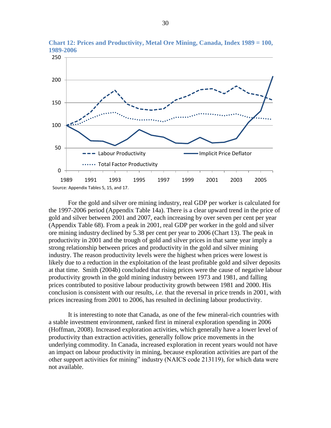

<span id="page-33-0"></span>**Chart 12: Prices and Productivity, Metal Ore Mining, Canada, Index 1989 = 100, 1989-2006**

For the gold and silver ore mining industry, real GDP per worker is calculated for the 1997-2006 period (Appendix Table 14a). There is a clear upward trend in the price of gold and silver between 2001 and 2007, each increasing by over seven per cent per year (Appendix Table 68). From a peak in 2001, real GDP per worker in the gold and silver ore mining industry declined by 5.38 per cent per year to 2006 [\(Chart 13\)](#page-34-0). The peak in productivity in 2001 and the trough of gold and silver prices in that same year imply a strong relationship between prices and productivity in the gold and silver mining industry. The reason productivity levels were the highest when prices were lowest is likely due to a reduction in the exploitation of the least profitable gold and silver deposits at that time. Smith (2004b) concluded that rising prices were the cause of negative labour productivity growth in the gold mining industry between 1973 and 1981, and falling prices contributed to positive labour productivity growth between 1981 and 2000. His conclusion is consistent with our results, *i.e.* that the reversal in price trends in 2001, with prices increasing from 2001 to 2006, has resulted in declining labour productivity.

It is interesting to note that Canada, as one of the few mineral-rich countries with a stable investment environment, ranked first in mineral exploration spending in 2006 (Hoffman, 2008). Increased exploration activities, which generally have a lower level of productivity than extraction activities, generally follow price movements in the underlying commodity. In Canada, increased exploration in recent years would not have an impact on labour productivity in mining, because exploration activities are part of the other support activities for mining" industry (NAICS code 213119), for which data were not available.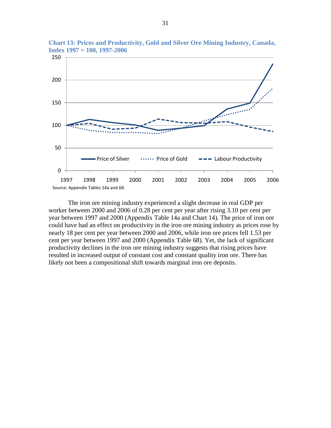

<span id="page-34-0"></span>**Chart 13: Prices and Productivity, Gold and Silver Ore Mining Industry, Canada, Index 1997 = 100, 1997-2006**

The iron ore mining industry experienced a slight decrease in real GDP per worker between 2000 and 2006 of 0.28 per cent per year after rising 3.10 per cent per year between 1997 and 2000 (Appendix Table 14a and [Chart 14\)](#page-35-1). The price of iron ore could have had an effect on productivity in the iron ore mining industry as prices rose by nearly 18 per cent per year between 2000 and 2006, while iron ore prices fell 1.53 per cent per year between 1997 and 2000 (Appendix Table 68). Yet, the lack of significant productivity declines in the iron ore mining industry suggests that rising prices have resulted in increased output of constant cost and constant quality iron ore. There has likely not been a compositional shift towards marginal iron ore deposits.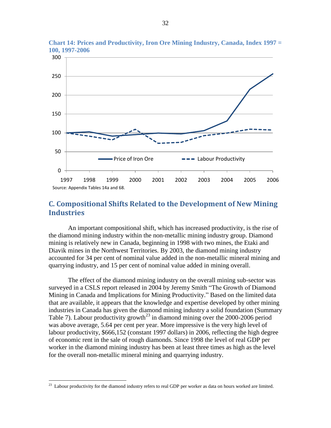

<span id="page-35-1"></span>**Chart 14: Prices and Productivity, Iron Ore Mining Industry, Canada, Index 1997 = 100, 1997-2006**

# <span id="page-35-0"></span>**C. Compositional Shifts Related to the Development of New Mining Industries**

An important compositional shift, which has increased productivity, is the rise of the diamond mining industry within the non-metallic mining industry group. Diamond mining is relatively new in Canada, beginning in 1998 with two mines, the Etaki and Diavik mines in the Northwest Territories. By 2003, the diamond mining industry accounted for 34 per cent of nominal value added in the non-metallic mineral mining and quarrying industry, and 15 per cent of nominal value added in mining overall.

The effect of the diamond mining industry on the overall mining sub-sector was surveyed in a CSLS report released in 2004 by Jeremy Smith "The Growth of Diamond Mining in Canada and Implications for Mining Productivity." Based on the limited data that are available, it appears that the knowledge and expertise developed by other mining industries in Canada has given the diamond mining industry a solid foundation [\(Summary](#page-36-0)  [Table 7\)](#page-36-0). Labour productivity growth<sup>23</sup> in diamond mining over the 2000-2006 period was above average, 5.64 per cent per year. More impressive is the very high level of labour productivity, \$666,152 (constant 1997 dollars) in 2006, reflecting the high degree of economic rent in the sale of rough diamonds. Since 1998 the level of real GDP per worker in the diamond mining industry has been at least three times as high as the level for the overall non-metallic mineral mining and quarrying industry.

 $\overline{a}$ 

 $2<sup>23</sup>$  Labour productivity for the diamond industry refers to real GDP per worker as data on hours worked are limited.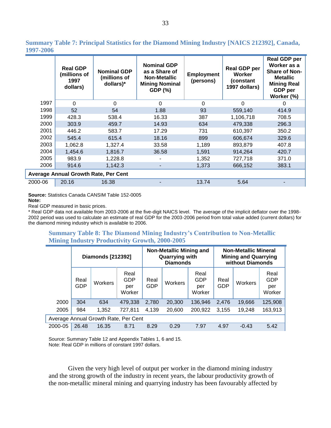|                                             | <b>Real GDP</b><br>(millions of<br>1997<br>dollars) | <b>Nominal GDP</b><br>(millions of<br>dollars)* | <b>Nominal GDP</b><br>as a Share of<br><b>Non-Metallic</b><br><b>Mining Nominal</b><br>GDP (%) | <b>Employment</b><br>(persons) | <b>Real GDP per</b><br><b>Worker</b><br>(constant<br>1997 dollars) | <b>Real GDP per</b><br>Worker as a<br><b>Share of Non-</b><br><b>Metallic</b><br><b>Mining Real</b><br>GDP per<br>Worker (%) |  |
|---------------------------------------------|-----------------------------------------------------|-------------------------------------------------|------------------------------------------------------------------------------------------------|--------------------------------|--------------------------------------------------------------------|------------------------------------------------------------------------------------------------------------------------------|--|
| 1997                                        | $\Omega$                                            | 0                                               | $\Omega$                                                                                       | $\Omega$                       | $\Omega$                                                           |                                                                                                                              |  |
| 1998                                        | 52                                                  | 54                                              | 1.88                                                                                           | 93                             | 559,140                                                            | 414.9                                                                                                                        |  |
| 1999                                        | 428.3                                               | 538.4                                           | 16.33                                                                                          | 387                            | 1,106,718                                                          | 708.5                                                                                                                        |  |
| 2000                                        | 303.9                                               | 459.7                                           | 14.93                                                                                          | 634                            | 479,338                                                            | 296.3                                                                                                                        |  |
| 2001                                        | 446.2                                               | 583.7                                           | 17.29                                                                                          | 731                            | 610,397                                                            | 350.2                                                                                                                        |  |
| 2002                                        | 545.4                                               | 615.4                                           | 18.16                                                                                          | 899                            | 606,674                                                            | 329.6                                                                                                                        |  |
| 2003                                        | 1,062.8                                             | 1,327.4                                         | 33.58                                                                                          | 1,189                          | 893,879                                                            | 407.8                                                                                                                        |  |
| 2004                                        | 1,454.6                                             | 1,816.7                                         | 36.58                                                                                          | 1,591                          | 914,264                                                            | 420.7                                                                                                                        |  |
| 2005                                        | 983.9                                               | 1,228.8                                         |                                                                                                | 1,352                          | 727,718                                                            | 371.0                                                                                                                        |  |
| 2006                                        | 914.6                                               | 1,142.3                                         |                                                                                                | 1,373                          | 666,152                                                            | 383.1                                                                                                                        |  |
| <b>Average Annual Growth Rate, Per Cent</b> |                                                     |                                                 |                                                                                                |                                |                                                                    |                                                                                                                              |  |
| 2000-06                                     | 20.16                                               | 16.38                                           |                                                                                                | 13.74                          | 5.64                                                               |                                                                                                                              |  |

<span id="page-36-0"></span>**Summary Table 7: Principal Statistics for the Diamond Mining Industry [NAICS 212392], Canada, 1997-2006**

**Source:** Statistics Canada CANSIM Table 152-0005

#### **Note:**

Real GDP measured in basic prices.

\* Real GDP data not available from 2003-2006 at the five-digit NAICS level. The average of the implicit deflator over the 1998- 2002 period was used to calculate an estimate of real GDP for the 2003-2006 period from total value added (current dollars) for the diamond mining industry which is available to 2006.

#### <span id="page-36-1"></span>**Summary Table 8: The Diamond Mining Industry's Contribution to Non-Metallic Mining Industry Productivity Growth, 2000-2005**

| . .                                  | <b>Diamonds [212392]</b> |         | <b>Non-Metallic Mining and</b><br><b>Quarrying with</b> |                 | <b>Non-Metallic Mineral</b><br><b>Mining and Quarrying</b> |                                     |             |         |                                     |
|--------------------------------------|--------------------------|---------|---------------------------------------------------------|-----------------|------------------------------------------------------------|-------------------------------------|-------------|---------|-------------------------------------|
|                                      |                          |         |                                                         | <b>Diamonds</b> |                                                            | without Diamonds                    |             |         |                                     |
|                                      | Real<br>GDP              | Workers | Real<br>GDP<br>per<br>Worker                            | Real<br>GDP     | Workers                                                    | Real<br><b>GDP</b><br>per<br>Worker | Real<br>GDP | Workers | Real<br><b>GDP</b><br>per<br>Worker |
| 2000                                 | 304                      | 634     | 479,338                                                 | 2,780           | 20,300                                                     | 136,946                             | 2,476       | 19,666  | 125,908                             |
| 2005                                 | 984                      | 1,352   | 727,811                                                 | 4,139           | 20,600                                                     | 200,922                             | 3.155       | 19,248  | 163,913                             |
| Average Annual Growth Rate, Per Cent |                          |         |                                                         |                 |                                                            |                                     |             |         |                                     |
| 2000-05                              | 26.48                    | 16.35   | 8.71                                                    | 8.29            | 0.29                                                       | 7.97                                | 4.97        | $-0.43$ | 5.42                                |

Source: Summary Table 12 and Appendix Tables 1, 6 and 15. Note: Real GDP in millions of constant 1997 dollars.

Given the very high level of output per worker in the diamond mining industry and the strong growth of the industry in recent years, the labour productivity growth of the non-metallic mineral mining and quarrying industry has been favourably affected by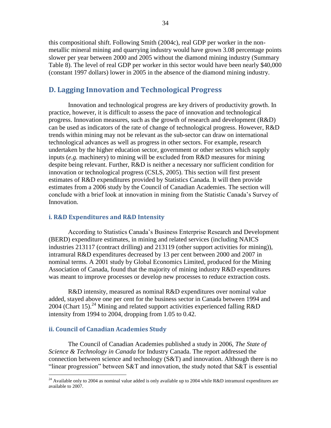this compositional shift. Following Smith (2004c), real GDP per worker in the nonmetallic mineral mining and quarrying industry would have grown 3.08 percentage points slower per year between 2000 and 2005 without the diamond mining industry [\(Summary](#page-36-1)  [Table 8\)](#page-36-1). The level of real GDP per worker in this sector would have been nearly \$40,000 (constant 1997 dollars) lower in 2005 in the absence of the diamond mining industry.

## <span id="page-37-0"></span>**D. Lagging Innovation and Technological Progress**

Innovation and technological progress are key drivers of productivity growth. In practice, however, it is difficult to assess the pace of innovation and technological progress. Innovation measures, such as the growth of research and development (R&D) can be used as indicators of the rate of change of technological progress. However, R&D trends within mining may not be relevant as the sub-sector can draw on international technological advances as well as progress in other sectors. For example, research undertaken by the higher education sector, government or other sectors which supply inputs (*e.g.* machinery) to mining will be excluded from R&D measures for mining despite being relevant. Further, R&D is neither a necessary nor sufficient condition for innovation or technological progress (CSLS, 2005). This section will first present estimates of R&D expenditures provided by Statistics Canada. It will then provide estimates from a 2006 study by the Council of Canadian Academies. The section will conclude with a brief look at innovation in mining from the Statistic Canada"s Survey of Innovation.

#### <span id="page-37-1"></span>**i. R&D Expenditures and R&D Intensity**

According to Statistics Canada"s Business Enterprise Research and Development (BERD) expenditure estimates, in mining and related services (including NAICS industries 213117 (contract drilling) and 213119 (other support activities for mining)), intramural R&D expenditures decreased by 13 per cent between 2000 and 2007 in nominal terms. A 2001 study by Global Economics Limited, produced for the Mining Association of Canada, found that the majority of mining industry R&D expenditures was meant to improve processes or develop new processes to reduce extraction costs.

R&D intensity, measured as nominal R&D expenditures over nominal value added, stayed above one per cent for the business sector in Canada between 1994 and 2004 [\(Chart 15\)](#page-38-0).<sup>24</sup> Mining and related support activities experienced falling R&D intensity from 1994 to 2004, dropping from 1.05 to 0.42.

#### <span id="page-37-2"></span>**ii. Council of Canadian Academies Study**

 $\overline{a}$ 

The Council of Canadian Academies published a study in 2006, *The State of Science & Technology in Canada* for Industry Canada. The report addressed the connection between science and technology (S&T) and innovation. Although there is no "linear progression" between  $S\&T$  and innovation, the study noted that  $S\&T$  is essential

<sup>&</sup>lt;sup>24</sup> Available only to 2004 as nominal value added is only available up to 2004 while R&D intramural expenditures are available to 2007.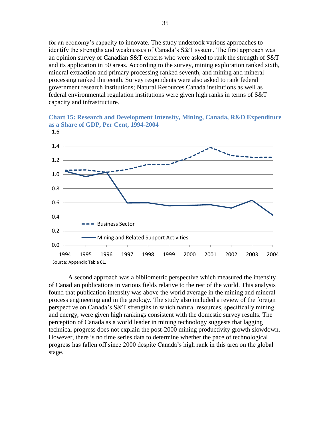for an economy"s capacity to innovate. The study undertook various approaches to identify the strengths and weaknesses of Canada"s S&T system. The first approach was an opinion survey of Canadian S&T experts who were asked to rank the strength of S&T and its application in 50 areas. According to the survey, mining exploration ranked sixth, mineral extraction and primary processing ranked seventh, and mining and mineral processing ranked thirteenth. Survey respondents were also asked to rank federal government research institutions; Natural Resources Canada institutions as well as federal environmental regulation institutions were given high ranks in terms of S&T capacity and infrastructure.

<span id="page-38-0"></span>**Chart 15: Research and Development Intensity, Mining, Canada, R&D Expenditure as a Share of GDP, Per Cent, 1994-2004**



A second approach was a bibliometric perspective which measured the intensity of Canadian publications in various fields relative to the rest of the world. This analysis found that publication intensity was above the world average in the mining and mineral process engineering and in the geology. The study also included a review of the foreign perspective on Canada"s S&T strengths in which natural resources, specifically mining and energy, were given high rankings consistent with the domestic survey results. The perception of Canada as a world leader in mining technology suggests that lagging technical progress does not explain the post-2000 mining productivity growth slowdown. However, there is no time series data to determine whether the pace of technological progress has fallen off since 2000 despite Canada"s high rank in this area on the global stage.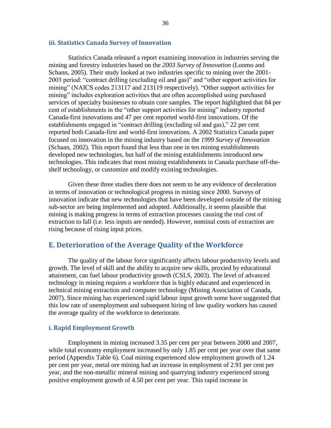#### <span id="page-39-0"></span>**iii. Statistics Canada Survey of Innovation**

Statistics Canada released a report examining innovation in industries serving the mining and forestry industries based on the *2003 Survey of Innovation* (Lonmo and Schann, 2005). Their study looked at two industries specific to mining over the 2001- 2003 period: "contract drilling (excluding oil and gas)" and "other support activities for mining" (NAICS codes 213117 and 213119 respectively). "Other support activities for mining" includes exploration activities that are often accomplished using purchased services of specialty businesses to obtain core samples. The report highlighted that 84 per cent of establishments in the "other support activities for mining" industry reported Canada-first innovations and 47 per cent reported world-first innovations. Of the establishments engaged in "contract drilling (excluding oil and gas)," 22 per cent reported both Canada-first and world-first innovations. A 2002 Statistics Canada paper focused on innovation in the mining industry based on the *1999 Survey of Innovation* (Schaan, 2002). This report found that less than one in ten mining establishments developed new technologies, but half of the mining establishments introduced new technologies. This indicates that most mining establishments in Canada purchase off-theshelf technology, or customize and modify existing technologies.

Given these three studies there does not seem to be any evidence of deceleration in terms of innovation or technological progress in mining since 2000. Surveys of innovation indicate that new technologies that have been developed outside of the mining sub-sector are being implemented and adopted. Additionally, it seems plausible that mining is making progress in terms of extraction processes causing the real cost of extraction to fall (i.e. less inputs are needed). However, nominal costs of extraction are rising because of rising input prices.

# <span id="page-39-1"></span>**E. Deterioration of the Average Quality of the Workforce**

The quality of the labour force significantly affects labour productivity levels and growth. The level of skill and the ability to acquire new skills, proxied by educational attainment, can fuel labour productivity growth (CSLS, 2003). The level of advanced technology in mining requires a workforce that is highly educated and experienced in technical mining extraction and computer technology (Mining Association of Canada, 2007). Since mining has experienced rapid labour input growth some have suggested that this low rate of unemployment and subsequent hiring of low quality workers has caused the average quality of the workforce to deteriorate.

#### <span id="page-39-2"></span>**i. Rapid Employment Growth**

Employment in mining increased 3.35 per cent per year between 2000 and 2007, while total economy employment increased by only 1.85 per cent per year over that same period (Appendix Table 6). Coal mining experienced slow employment growth of 1.24 per cent per year, metal ore mining had an increase in employment of 2.91 per cent per year, and the non-metallic mineral mining and quarrying industry experienced strong positive employment growth of 4.50 per cent per year. This rapid increase in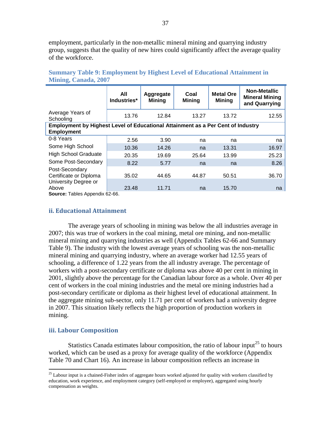employment, particularly in the non-metallic mineral mining and quarrying industry group, suggests that the quality of new hires could significantly affect the average quality of the workforce.

|                                                                                 | All<br>Industries* | Aggregate<br><b>Mining</b> | Coal<br><b>Mining</b> | <b>Metal Ore</b><br>Mining | <b>Non-Metallic</b><br><b>Mineral Mining</b><br>and Quarrying |
|---------------------------------------------------------------------------------|--------------------|----------------------------|-----------------------|----------------------------|---------------------------------------------------------------|
| Average Years of<br>Schooling                                                   | 13.76              | 12.84                      | 13.27                 | 13.72                      | 12.55                                                         |
| Employment by Highest Level of Educational Attainment as a Per Cent of Industry |                    |                            |                       |                            |                                                               |
| <b>Employment</b>                                                               |                    |                            |                       |                            |                                                               |
| 0-8 Years                                                                       | 2.56               | 3.90                       | na                    | na                         | na                                                            |
| Some High School                                                                | 10.36              | 14.26                      | na                    | 13.31                      | 16.97                                                         |
| <b>High School Graduate</b>                                                     | 20.35              | 19.69                      | 25.64                 | 13.99                      | 25.23                                                         |
| Some Post-Secondary                                                             | 8.22               | 5.77                       | na                    | na                         | 8.26                                                          |
| Post-Secondary<br>Certificate or Diploma                                        | 35.02              | 44.65                      | 44.87                 | 50.51                      | 36.70                                                         |
| University Degree or<br>Above<br><b>Source: Tables Appendix 62-66.</b>          | 23.48              | 11.71                      | na                    | 15.70                      | na                                                            |

<span id="page-40-2"></span>

| <b>Summary Table 9: Employment by Highest Level of Educational Attainment in</b> |  |  |
|----------------------------------------------------------------------------------|--|--|
| <b>Mining, Canada, 2007</b>                                                      |  |  |

#### <span id="page-40-0"></span>**ii. Educational Attainment**

The average years of schooling in mining was below the all industries average in 2007; this was true of workers in the coal mining, metal ore mining, and non-metallic mineral mining and quarrying industries as well (Appendix Tables 62-66 and [Summary](#page-40-2)  [Table 9\)](#page-40-2). The industry with the lowest average years of schooling was the non-metallic mineral mining and quarrying industry, where an average worker had 12.55 years of schooling, a difference of 1.22 years from the all industry average. The percentage of workers with a post-secondary certificate or diploma was above 40 per cent in mining in 2001, slightly above the percentage for the Canadian labour force as a whole. Over 40 per cent of workers in the coal mining industries and the metal ore mining industries had a post-secondary certificate or diploma as their highest level of educational attainment. In the aggregate mining sub-sector, only 11.71 per cent of workers had a university degree in 2007. This situation likely reflects the high proportion of production workers in mining.

#### <span id="page-40-1"></span>**iii. Labour Composition**

 $\overline{a}$ 

Statistics Canada estimates labour composition, the ratio of labour input<sup>25</sup> to hours worked, which can be used as a proxy for average quality of the workforce (Appendix Table 70 and [Chart 16\)](#page-41-0). An increase in labour composition reflects an increase in

 $25$  Labour input is a chained-Fisher index of aggregate hours worked adjusted for quality with workers classified by education, work experience, and employment category (self-employed or employee), aggregated using hourly compensation as weights.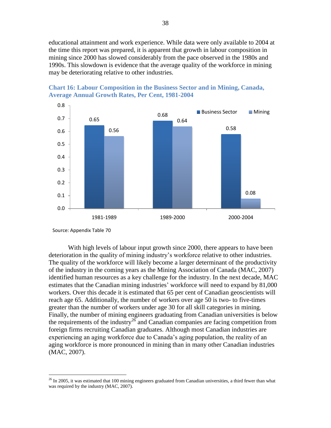educational attainment and work experience. While data were only available to 2004 at the time this report was prepared, it is apparent that growth in labour composition in mining since 2000 has slowed considerably from the pace observed in the 1980s and 1990s. This slowdown is evidence that the average quality of the workforce in mining may be deteriorating relative to other industries.



### <span id="page-41-0"></span>**Chart 16: Labour Composition in the Business Sector and in Mining, Canada, Average Annual Growth Rates, Per Cent, 1981-2004**

Source: Appendix Table 70

 $\overline{a}$ 

With high levels of labour input growth since 2000, there appears to have been deterioration in the quality of mining industry's workforce relative to other industries. The quality of the workforce will likely become a larger determinant of the productivity of the industry in the coming years as the Mining Association of Canada (MAC, 2007) identified human resources as a key challenge for the industry. In the next decade, MAC estimates that the Canadian mining industries' workforce will need to expand by 81,000 workers. Over this decade it is estimated that 65 per cent of Canadian geoscientists will reach age 65. Additionally, the number of workers over age 50 is two- to five-times greater than the number of workers under age 30 for all skill categories in mining. Finally, the number of mining engineers graduating from Canadian universities is below the requirements of the industry<sup>26</sup> and Canadian companies are facing competition from foreign firms recruiting Canadian graduates. Although most Canadian industries are experiencing an aging workforce due to Canada"s aging population, the reality of an aging workforce is more pronounced in mining than in many other Canadian industries (MAC, 2007).

 $^{26}$  In 2005, it was estimated that 100 mining engineers graduated from Canadian universities, a third fewer than what was required by the industry (MAC, 2007).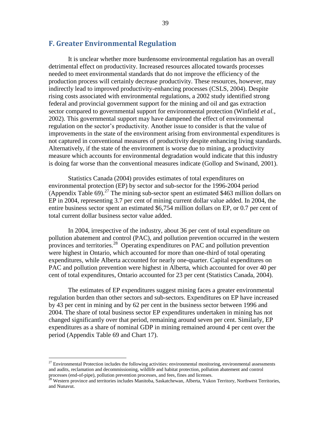### <span id="page-42-0"></span>**F. Greater Environmental Regulation**

It is unclear whether more burdensome environmental regulation has an overall detrimental effect on productivity. Increased resources allocated towards processes needed to meet environmental standards that do not improve the efficiency of the production process will certainly decrease productivity. These resources, however, may indirectly lead to improved productivity-enhancing processes (CSLS, 2004). Despite rising costs associated with environmental regulations, a 2002 study identified strong federal and provincial government support for the mining and oil and gas extraction sector compared to governmental support for environmental protection (Winfield *et al.*, 2002). This governmental support may have dampened the effect of environmental regulation on the sector's productivity. Another issue to consider is that the value of improvements in the state of the environment arising from environmental expenditures is not captured in conventional measures of productivity despite enhancing living standards. Alternatively, if the state of the environment is worse due to mining, a productivity measure which accounts for environmental degradation would indicate that this industry is doing far worse than the conventional measures indicate (Gollop and Swinand, 2001).

Statistics Canada (2004) provides estimates of total expenditures on environmental protection (EP) by sector and sub-sector for the 1996-2004 period (Appendix Table 69).<sup>27</sup> The mining sub-sector spent an estimated \$463 million dollars on EP in 2004, representing 3.7 per cent of mining current dollar value added. In 2004, the entire business sector spent an estimated \$6,754 million dollars on EP, or 0.7 per cent of total current dollar business sector value added.

In 2004, irrespective of the industry, about 36 per cent of total expenditure on pollution abatement and control (PAC), and pollution prevention occurred in the western provinces and territories.<sup>28</sup> Operating expenditures on PAC and pollution prevention were highest in Ontario, which accounted for more than one-third of total operating expenditures, while Alberta accounted for nearly one-quarter. Capital expenditures on PAC and pollution prevention were highest in Alberta, which accounted for over 40 per cent of total expenditures, Ontario accounted for 23 per cent (Statistics Canada, 2004).

The estimates of EP expenditures suggest mining faces a greater environmental regulation burden than other sectors and sub-sectors. Expenditures on EP have increased by 43 per cent in mining and by 62 per cent in the business sector between 1996 and 2004. The share of total business sector EP expenditures undertaken in mining has not changed significantly over that period, remaining around seven per cent. Similarly, EP expenditures as a share of nominal GDP in mining remained around 4 per cent over the period (Appendix Table 69 and [Chart 17\)](#page-43-1).

 $\overline{a}$ 

 $27$  Environmental Protection includes the following activities: environmental monitoring, environmental assessments and audits, reclamation and decommissioning, wildlife and habitat protection, pollution abatement and control processes (end-of-pipe), pollution prevention processes, and fees, fines and licenses.

<sup>&</sup>lt;sup>28</sup> Western province and territories includes Manitoba, Saskatchewan, Alberta, Yukon Territory, Northwest Territories, and Nunavut.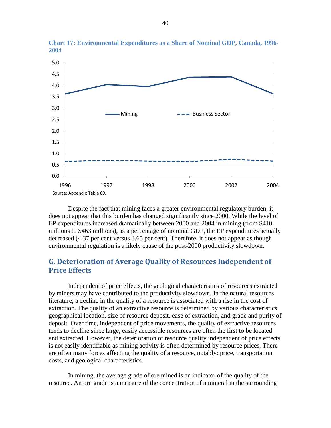

<span id="page-43-1"></span>**Chart 17: Environmental Expenditures as a Share of Nominal GDP, Canada, 1996- 2004**

Despite the fact that mining faces a greater environmental regulatory burden, it does not appear that this burden has changed significantly since 2000. While the level of EP expenditures increased dramatically between 2000 and 2004 in mining (from \$410 millions to \$463 millions), as a percentage of nominal GDP, the EP expenditures actually decreased (4.37 per cent versus 3.65 per cent). Therefore, it does not appear as though environmental regulation is a likely cause of the post-2000 productivity slowdown.

# <span id="page-43-0"></span>**G. Deterioration of Average Quality of Resources Independent of Price Effects**

Independent of price effects, the geological characteristics of resources extracted by miners may have contributed to the productivity slowdown. In the natural resources literature, a decline in the quality of a resource is associated with a rise in the cost of extraction. The quality of an extractive resource is determined by various characteristics: geographical location, size of resource deposit, ease of extraction, and grade and purity of deposit. Over time, independent of price movements, the quality of extractive resources tends to decline since large, easily accessible resources are often the first to be located and extracted. However, the deterioration of resource quality independent of price effects is not easily identifiable as mining activity is often determined by resource prices. There are often many forces affecting the quality of a resource, notably: price, transportation costs, and geological characteristics.

In mining, the average grade of ore mined is an indicator of the quality of the resource. An ore grade is a measure of the concentration of a mineral in the surrounding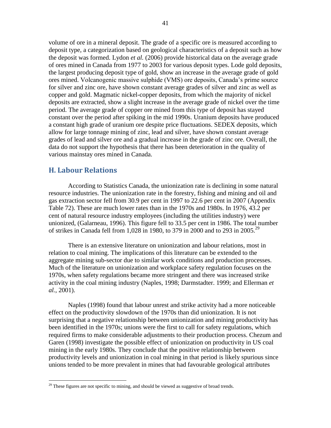volume of ore in a mineral deposit. The grade of a specific ore is measured according to deposit type, a categorization based on geological characteristics of a deposit such as how the deposit was formed. Lydon *et al.* (2006) provide historical data on the average grade of ores mined in Canada from 1977 to 2003 for various deposit types. Lode gold deposits, the largest producing deposit type of gold, show an increase in the average grade of gold ores mined. Volcanogenic massive sulphide (VMS) ore deposits, Canada"s prime source for silver and zinc ore, have shown constant average grades of silver and zinc as well as copper and gold. Magmatic nickel-copper deposits, from which the majority of nickel deposits are extracted, show a slight increase in the average grade of nickel over the time period. The average grade of copper ore mined from this type of deposit has stayed constant over the period after spiking in the mid 1990s. Uranium deposits have produced a constant high grade of uranium ore despite price fluctuations. SEDEX deposits, which allow for large tonnage mining of zinc, lead and silver, have shown constant average grades of lead and silver ore and a gradual increase in the grade of zinc ore. Overall, the data do not support the hypothesis that there has been deterioration in the quality of various mainstay ores mined in Canada.

### <span id="page-44-0"></span>**H. Labour Relations**

 $\overline{a}$ 

According to Statistics Canada, the unionization rate is declining in some natural resource industries. The unionization rate in the forestry, fishing and mining and oil and gas extraction sector fell from 30.9 per cent in 1997 to 22.6 per cent in 2007 (Appendix Table 72). These are much lower rates than in the 1970s and 1980s. In 1976, 43.2 per cent of natural resource industry employees (including the utilities industry) were unionized, (Galarneau, 1996). This figure fell to 33.5 per cent in 1986. The total number of strikes in Canada fell from 1,028 in 1980, to 379 in 2000 and to 293 in 2005.<sup>29</sup>

There is an extensive literature on unionization and labour relations, most in relation to coal mining. The implications of this literature can be extended to the aggregate mining sub-sector due to similar work conditions and production processes. Much of the literature on unionization and workplace safety regulation focuses on the 1970s, when safety regulations became more stringent and there was increased strike activity in the coal mining industry (Naples, 1998; Darmstadter. 1999; and Ellerman *et al.*, 2001).

Naples (1998) found that labour unrest and strike activity had a more noticeable effect on the productivity slowdown of the 1970s than did unionization. It is not surprising that a negative relationship between unionization and mining productivity has been identified in the 1970s; unions were the first to call for safety regulations, which required firms to make considerable adjustments to their production process. Chezum and Garen (1998) investigate the possible effect of unionization on productivity in US coal mining in the early 1980s. They conclude that the positive relationship between productivity levels and unionization in coal mining in that period is likely spurious since unions tended to be more prevalent in mines that had favourable geological attributes

<sup>&</sup>lt;sup>29</sup> These figures are not specific to mining, and should be viewed as suggestive of broad trends.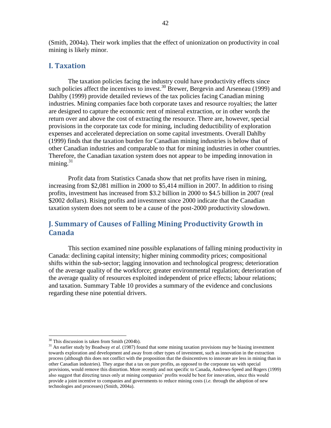(Smith, 2004a). Their work implies that the effect of unionization on productivity in coal mining is likely minor.

# <span id="page-45-0"></span>**I. Taxation**

The taxation policies facing the industry could have productivity effects since such policies affect the incentives to invest.<sup>30</sup> Brewer, Bergevin and Arseneau (1999) and Dahlby (1999) provide detailed reviews of the tax policies facing Canadian mining industries. Mining companies face both corporate taxes and resource royalties; the latter are designed to capture the economic rent of mineral extraction, or in other words the return over and above the cost of extracting the resource. There are, however, special provisions in the corporate tax code for mining, including deductibility of exploration expenses and accelerated depreciation on some capital investments. Overall Dahlby (1999) finds that the taxation burden for Canadian mining industries is below that of other Canadian industries and comparable to that for mining industries in other countries. Therefore, the Canadian taxation system does not appear to be impeding innovation in  $mining.<sup>31</sup>$ 

Profit data from Statistics Canada show that net profits have risen in mining, increasing from \$2,081 million in 2000 to \$5,414 million in 2007. In addition to rising profits, investment has increased from \$3.2 billion in 2000 to \$4.5 billion in 2007 (real \$2002 dollars). Rising profits and investment since 2000 indicate that the Canadian taxation system does not seem to be a cause of the post-2000 productivity slowdown.

# <span id="page-45-1"></span>**J. Summary of Causes of Falling Mining Productivity Growth in Canada**

This section examined nine possible explanations of falling mining productivity in Canada: declining capital intensity; higher mining commodity prices; compositional shifts within the sub-sector; lagging innovation and technological progress; deterioration of the average quality of the workforce; greater environmental regulation; deterioration of the average quality of resources exploited independent of price effects; labour relations; and taxation. [Summary Table 10](#page-46-0) provides a summary of the evidence and conclusions regarding these nine potential drivers.

 $\overline{a}$ 

<sup>&</sup>lt;sup>30</sup> This discussion is taken from Smith (2004b).

<sup>&</sup>lt;sup>31</sup> An earlier study by Boadway *et al.* (1987) found that some mining taxation provisions may be biasing investment towards exploration and development and away from other types of investment, such as innovation in the extraction process (although this does not conflict with the proposition that the disincentives to innovate are less in mining than in other Canadian industries). They argue that a tax on pure profits, as opposed to the corporate tax with special provisions, would remove this distortion. More recently and not specific to Canada, Andrews-Speed and Rogers (1999) also suggest that directing taxes only at mining companies" profits would be best for innovation, since this would provide a joint incentive to companies and governments to reduce mining costs (*i.e.* through the adoption of new technologies and processes) (Smith, 2004a).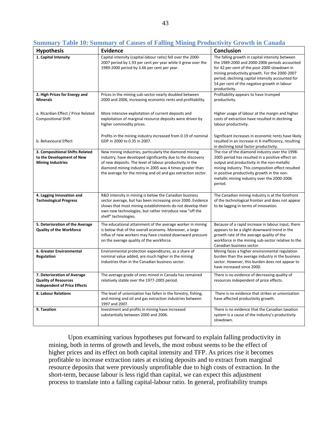| <b>Hypothesis</b>                                                                                 | <b>Evidence</b>                                                                                                                                                                                                                                                                                                | <b>Conclusion</b>                                                                                                                                                                                                                                                                                                       |
|---------------------------------------------------------------------------------------------------|----------------------------------------------------------------------------------------------------------------------------------------------------------------------------------------------------------------------------------------------------------------------------------------------------------------|-------------------------------------------------------------------------------------------------------------------------------------------------------------------------------------------------------------------------------------------------------------------------------------------------------------------------|
| 1. Capital Intensity                                                                              | Capital intensity (capital-labour ratio) fell over the 2000-<br>2007 period by 1.93 per cent per year while it grew over the<br>1989-2000 period by 3.66 per cent per year.                                                                                                                                    | The falling growth in capital intensity between<br>the 1989-2000 and 2000-2006 periods accounted<br>for 42 per cent of the post-2000 slowdown in<br>mining productivity growth. For the 2000-2007<br>period, declining capital intensity accounted for<br>54 per cent of the negative growth in labour<br>productivity. |
| 2. High Prices for Energy and<br><b>Minerals</b>                                                  | Prices in the mining sub-sector nearly doubled between<br>2000 and 2006, increasing economic rents and profitability.                                                                                                                                                                                          | Profitability appears to have trumped<br>productivity.                                                                                                                                                                                                                                                                  |
| a. Ricardian Effect / Price Related<br><b>Compositional Shift</b>                                 | More intensive exploitation of current deposits and<br>exploitation of marginal resource deposits were driven by<br>higher commodity prices.                                                                                                                                                                   | Higher usage of labour at the margin and higher<br>costs of extraction have resulted in declining<br>labour productivity.                                                                                                                                                                                               |
| b. Behavioural Effect                                                                             | Profits in the mining industry increased from 0.19 of nominal<br>GDP in 2000 to 0.35 in 2007.                                                                                                                                                                                                                  | Significant increases in economic rents have likely<br>resulted in an increase in X-inefficiency, resulting<br>in declining total factor productivity.                                                                                                                                                                  |
| 3. Compositional Shifts Related<br>to the Development of New<br><b>Mining Industries</b>          | New mining industries, particularly the diamond mining<br>industry, have developed significantly due to the discovery<br>of new deposits. The level of labour productivity in the<br>diamond mining industry in 2005 was 4 times greater than<br>the average for the mining and oil and gas extraction sector. | The rise of the diamond industry over the 1998-<br>2005 period has resulted in a positive effect on<br>output and productivity in the non-metallic<br>mining industry. This composition effect resulted<br>in positive productivity growth in the non-<br>metallic mining industry over the 2000-2006<br>period.        |
| 4. Lagging Innovation and<br><b>Technological Progress</b>                                        | R&D Intensity in mining is below the Canadian business<br>sector average, but has been increasing since 2000. Evidence<br>shows that most mining establishments do not develop their<br>own new technologies, but rather introduce new "off the<br>shelf" technologies.                                        | The Canadian mining industry is at the forefront<br>of the technological frontier and does not appear<br>to be lagging in terms of innovation.                                                                                                                                                                          |
| 5. Deterioration of the Average<br><b>Quality of the Workforce</b>                                | The educational attainment of the average worker in mining<br>is below that of the overall economy. Moreover, a large<br>influx of new workers may have created downward pressure<br>on the average quality of the workforce.                                                                                  | Because of a rapid increase in labour input, there<br>appears to be a slight downward trend in the<br>growth rate of the average quality of the<br>workforce in the mining sub-sector relative to the<br>Canadian business sector.                                                                                      |
| 6. Greater Environmental<br>Regulation                                                            | Environmental protection expenditures, as a share of<br>nominal value added, are much higher in the mining<br>industries than in the Canadian business sector.                                                                                                                                                 | Mining faces a higher environmental regulation<br>burden than the average industry in the business<br>sector. However, this burden does not appear to<br>have increased since 2000.                                                                                                                                     |
| 7. Deterioration of Average<br><b>Quality of Resources</b><br><b>Independent of Price Effects</b> | The average grade of ores mined in Canada has remained<br>relatively stable over the 1977-2005 period.                                                                                                                                                                                                         | There is no evidence of decreasing quality of<br>resources independent of price effects.                                                                                                                                                                                                                                |
| 8. Labour Relations                                                                               | The level of unionization has fallen in the forestry, fishing,<br>and mining and oil and gas extraction industries between<br>1997 and 2007.                                                                                                                                                                   | There is no evidence that strikes or unionization<br>have affected productivity growth.                                                                                                                                                                                                                                 |
| 9. Taxation                                                                                       | Investment and profits in mining have increased<br>substantially between 2000 and 2006.                                                                                                                                                                                                                        | There is no evidence that the Canadian taxation<br>system is a cause of the industry's productivity<br>slowdown.                                                                                                                                                                                                        |

#### <span id="page-46-0"></span>**Summary Table 10: Summary of Causes of Falling Mining Productivity Growth in Canada**

Upon examining various hypotheses put forward to explain falling productivity in mining, both in terms of growth and levels, the most robust seems to be the effect of higher prices and its effect on both capital intensity and TFP. As prices rise it becomes profitable to increase extraction rates at existing deposits and to extract from marginal resource deposits that were previously unprofitable due to high costs of extraction. In the short-term, because labour is less rigid than capital, we can expect this adjustment process to translate into a falling capital-labour ratio. In general, profitability trumps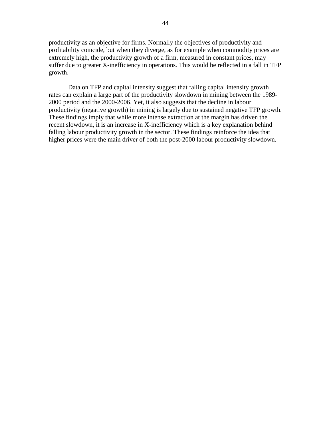productivity as an objective for firms. Normally the objectives of productivity and profitability coincide, but when they diverge, as for example when commodity prices are extremely high, the productivity growth of a firm, measured in constant prices, may suffer due to greater X-inefficiency in operations. This would be reflected in a fall in TFP growth.

Data on TFP and capital intensity suggest that falling capital intensity growth rates can explain a large part of the productivity slowdown in mining between the 1989- 2000 period and the 2000-2006. Yet, it also suggests that the decline in labour productivity (negative growth) in mining is largely due to sustained negative TFP growth. These findings imply that while more intense extraction at the margin has driven the recent slowdown, it is an increase in X-inefficiency which is a key explanation behind falling labour productivity growth in the sector. These findings reinforce the idea that higher prices were the main driver of both the post-2000 labour productivity slowdown.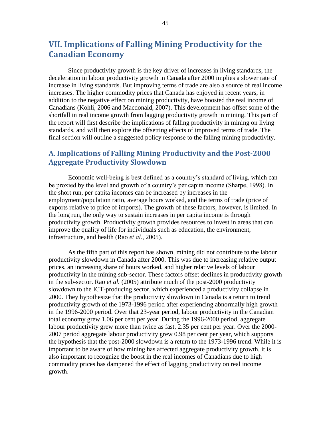# <span id="page-48-0"></span>**VII. Implications of Falling Mining Productivity for the Canadian Economy**

Since productivity growth is the key driver of increases in living standards, the deceleration in labour productivity growth in Canada after 2000 implies a slower rate of increase in living standards. But improving terms of trade are also a source of real income increases. The higher commodity prices that Canada has enjoyed in recent years, in addition to the negative effect on mining productivity, have boosted the real income of Canadians (Kohli, 2006 and Macdonald, 2007). This development has offset some of the shortfall in real income growth from lagging productivity growth in mining. This part of the report will first describe the implications of falling productivity in mining on living standards, and will then explore the offsetting effects of improved terms of trade. The final section will outline a suggested policy response to the falling mining productivity.

# <span id="page-48-1"></span>**A. Implications of Falling Mining Productivity and the Post-2000 Aggregate Productivity Slowdown**

Economic well-being is best defined as a country"s standard of living, which can be proxied by the level and growth of a country"s per capita income (Sharpe, 1998). In the short run, per capita incomes can be increased by increases in the employment/population ratio, average hours worked, and the terms of trade (price of exports relative to price of imports). The growth of these factors, however, is limited. In the long run, the only way to sustain increases in per capita income is through productivity growth. Productivity growth provides resources to invest in areas that can improve the quality of life for individuals such as education, the environment, infrastructure, and health (Rao *et al.*, 2005).

As the fifth part of this report has shown, mining did not contribute to the labour productivity slowdown in Canada after 2000. This was due to increasing relative output prices, an increasing share of hours worked, and higher relative levels of labour productivity in the mining sub-sector. These factors offset declines in productivity growth in the sub-sector. Rao *et al.* (2005) attribute much of the post-2000 productivity slowdown to the ICT-producing sector, which experienced a productivity collapse in 2000. They hypothesize that the productivity slowdown in Canada is a return to trend productivity growth of the 1973-1996 period after experiencing abnormally high growth in the 1996-2000 period. Over that 23-year period, labour productivity in the Canadian total economy grew 1.06 per cent per year. During the 1996-2000 period, aggregate labour productivity grew more than twice as fast, 2.35 per cent per year. Over the 2000- 2007 period aggregate labour productivity grew 0.98 per cent per year, which supports the hypothesis that the post-2000 slowdown is a return to the 1973-1996 trend. While it is important to be aware of how mining has affected aggregate productivity growth, it is also important to recognize the boost in the real incomes of Canadians due to high commodity prices has dampened the effect of lagging productivity on real income growth.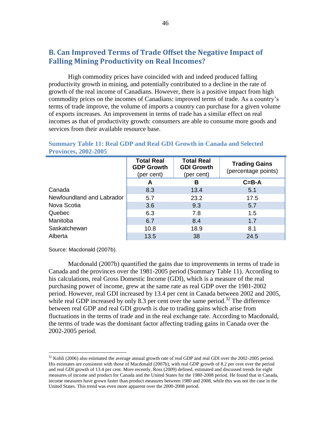# <span id="page-49-0"></span>**B. Can Improved Terms of Trade Offset the Negative Impact of Falling Mining Productivity on Real Incomes?**

High commodity prices have coincided with and indeed produced falling productivity growth in mining, and potentially contributed to a decline in the rate of growth of the real income of Canadians. However, there is a positive impact from high commodity prices on the incomes of Canadians: improved terms of trade. As a country"s terms of trade improve, the volume of imports a country can purchase for a given volume of exports increases. An improvement in terms of trade has a similar effect on real incomes as that of productivity growth: consumers are able to consume more goods and services from their available resource base.

| $1101110009 = 002000$     |                                                      |                                                      |                                             |  |  |  |
|---------------------------|------------------------------------------------------|------------------------------------------------------|---------------------------------------------|--|--|--|
|                           | <b>Total Real</b><br><b>GDP Growth</b><br>(per cent) | <b>Total Real</b><br><b>GDI Growth</b><br>(per cent) | <b>Trading Gains</b><br>(percentage points) |  |  |  |
|                           | A                                                    | в                                                    | $C = B - A$                                 |  |  |  |
| Canada                    | 8.3                                                  | 13.4                                                 | 5.1                                         |  |  |  |
| Newfoundland and Labrador | 5.7                                                  | 23.2                                                 | 17.5                                        |  |  |  |
| Nova Scotia               | 3.6                                                  | 9.3                                                  | 5.7                                         |  |  |  |
| Quebec                    | 6.3                                                  | 7.8                                                  | 1.5                                         |  |  |  |
| Manitoba                  | 6.7                                                  | 8.4                                                  | 1.7                                         |  |  |  |
| Saskatchewan              | 10.8                                                 | 18.9                                                 | 8.1                                         |  |  |  |
| Alberta                   | 13.5                                                 | 38                                                   | 24.5                                        |  |  |  |

<span id="page-49-1"></span>**Summary Table 11: Real GDP and Real GDI Growth in Canada and Selected Provinces, 2002-2005**

Source: Macdonald (2007b).

 $\overline{a}$ 

Macdonald (2007b) quantified the gains due to improvements in terms of trade in Canada and the provinces over the 1981-2005 period [\(Summary Table 11\)](#page-49-1). According to his calculations, real Gross Domestic Income (GDI), which is a measure of the real purchasing power of income, grew at the same rate as real GDP over the 1981-2002 period. However, real GDI increased by 13.4 per cent in Canada between 2002 and 2005, while real GDP increased by only 8.3 per cent over the same period.<sup>32</sup> The difference between real GDP and real GDI growth is due to trading gains which arise from fluctuations in the terms of trade and in the real exchange rate. According to Macdonald, the terms of trade was the dominant factor affecting trading gains in Canada over the 2002-2005 period.

 $32$  Kohli (2006) also estimated the average annual growth rate of real GDP and real GDI over the 2002-2005 period. His estimates are consistent with those of Macdonald (2007b), with real GDP growth of 8.2 per cent over the period and real GDI growth of 13.4 per cent. More recently, Ross (2009) defined, estimated and discussed trends for eight measures of income and product for Canada and the United States for the 1980-2008 period. He found that in Canada, income measures have grown faster than product measures between 1980 and 2008, while this was not the case in the United States. This trend was even more apparent over the 2000-2008 period.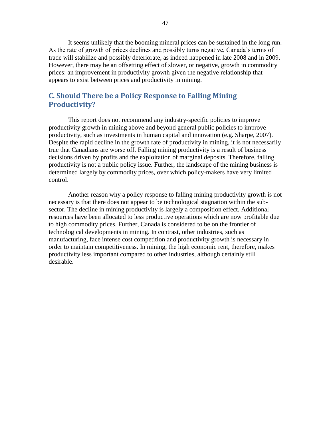It seems unlikely that the booming mineral prices can be sustained in the long run. As the rate of growth of prices declines and possibly turns negative, Canada"s terms of trade will stabilize and possibly deteriorate, as indeed happened in late 2008 and in 2009. However, there may be an offsetting effect of slower, or negative, growth in commodity prices: an improvement in productivity growth given the negative relationship that appears to exist between prices and productivity in mining.

# <span id="page-50-0"></span>**C. Should There be a Policy Response to Falling Mining Productivity?**

This report does not recommend any industry-specific policies to improve productivity growth in mining above and beyond general public policies to improve productivity, such as investments in human capital and innovation (e.g. Sharpe, 2007). Despite the rapid decline in the growth rate of productivity in mining, it is not necessarily true that Canadians are worse off. Falling mining productivity is a result of business decisions driven by profits and the exploitation of marginal deposits. Therefore, falling productivity is not a public policy issue. Further, the landscape of the mining business is determined largely by commodity prices, over which policy-makers have very limited control.

Another reason why a policy response to falling mining productivity growth is not necessary is that there does not appear to be technological stagnation within the subsector. The decline in mining productivity is largely a composition effect. Additional resources have been allocated to less productive operations which are now profitable due to high commodity prices. Further, Canada is considered to be on the frontier of technological developments in mining. In contrast, other industries, such as manufacturing, face intense cost competition and productivity growth is necessary in order to maintain competitiveness. In mining, the high economic rent, therefore, makes productivity less important compared to other industries, although certainly still desirable.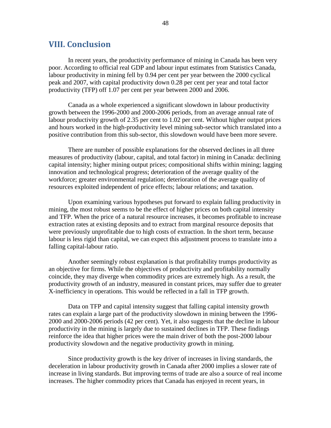# <span id="page-51-0"></span>**VIII. Conclusion**

In recent years, the productivity performance of mining in Canada has been very poor. According to official real GDP and labour input estimates from Statistics Canada, labour productivity in mining fell by 0.94 per cent per year between the 2000 cyclical peak and 2007, with capital productivity down 0.28 per cent per year and total factor productivity (TFP) off 1.07 per cent per year between 2000 and 2006.

Canada as a whole experienced a significant slowdown in labour productivity growth between the 1996-2000 and 2000-2006 periods, from an average annual rate of labour productivity growth of 2.35 per cent to 1.02 per cent. Without higher output prices and hours worked in the high-productivity level mining sub-sector which translated into a positive contribution from this sub-sector, this slowdown would have been more severe.

There are number of possible explanations for the observed declines in all three measures of productivity (labour, capital, and total factor) in mining in Canada: declining capital intensity; higher mining output prices; compositional shifts within mining; lagging innovation and technological progress; deterioration of the average quality of the workforce; greater environmental regulation; deterioration of the average quality of resources exploited independent of price effects; labour relations; and taxation.

Upon examining various hypotheses put forward to explain falling productivity in mining, the most robust seems to be the effect of higher prices on both capital intensity and TFP. When the price of a natural resource increases, it becomes profitable to increase extraction rates at existing deposits and to extract from marginal resource deposits that were previously unprofitable due to high costs of extraction. In the short term, because labour is less rigid than capital, we can expect this adjustment process to translate into a falling capital-labour ratio.

Another seemingly robust explanation is that profitability trumps productivity as an objective for firms. While the objectives of productivity and profitability normally coincide, they may diverge when commodity prices are extremely high. As a result, the productivity growth of an industry, measured in constant prices, may suffer due to greater X-inefficiency in operations. This would be reflected in a fall in TFP growth.

Data on TFP and capital intensity suggest that falling capital intensity growth rates can explain a large part of the productivity slowdown in mining between the 1996- 2000 and 2000-2006 periods (42 per cent). Yet, it also suggests that the decline in labour productivity in the mining is largely due to sustained declines in TFP. These findings reinforce the idea that higher prices were the main driver of both the post-2000 labour productivity slowdown and the negative productivity growth in mining.

Since productivity growth is the key driver of increases in living standards, the deceleration in labour productivity growth in Canada after 2000 implies a slower rate of increase in living standards. But improving terms of trade are also a source of real income increases. The higher commodity prices that Canada has enjoyed in recent years, in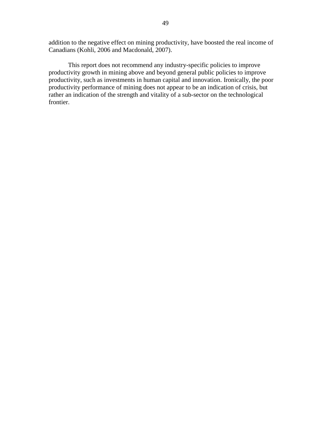addition to the negative effect on mining productivity, have boosted the real income of Canadians (Kohli, 2006 and Macdonald, 2007).

This report does not recommend any industry-specific policies to improve productivity growth in mining above and beyond general public policies to improve productivity, such as investments in human capital and innovation. Ironically, the poor productivity performance of mining does not appear to be an indication of crisis, but rather an indication of the strength and vitality of a sub-sector on the technological frontier.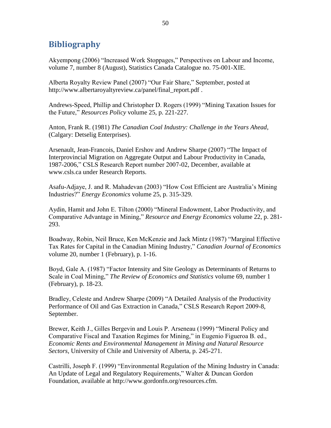# <span id="page-53-0"></span>**Bibliography**

Akyempong (2006) "Increased Work Stoppages," Perspectives on Labour and Income, volume 7, number 8 (August), Statistics Canada Catalogue no. 75-001-XIE.

Alberta Royalty Review Panel (2007) "Our Fair Share," September, posted at http://www.albertaroyaltyreview.ca/panel/final\_report.pdf.

Andrews-Speed, Phillip and Christopher D. Rogers (1999) "Mining Taxation Issues for the Future," *Resources Policy* volume 25, p. 221-227.

Anton, Frank R. (1981) *The Canadian Coal Industry: Challenge in the Years Ahead*, (Calgary: Detselig Enterprises).

Arsenault, Jean-Francois, Daniel Ershov and Andrew Sharpe (2007) "The Impact of Interprovincial Migration on Aggregate Output and Labour Productivity in Canada, 1987-2006," CSLS Research Report number 2007-02, December, available at www.csls.ca under Research Reports.

Asafu-Adjaye, J. and R. Mahadevan (2003) "How Cost Efficient are Australia"s Mining Industries?" *Energy Economics* volume 25, p. 315-329.

Aydin, Hamit and John E. Tilton (2000) "Mineral Endowment, Labor Productivity, and Comparative Advantage in Mining," *Resource and Energy Economics* volume 22, p. 281- 293.

Boadway, Robin, Neil Bruce, Ken McKenzie and Jack Mintz (1987) "Marginal Effective Tax Rates for Capital in the Canadian Mining Industry," *Canadian Journal of Economics* volume 20, number 1 (February), p. 1-16.

Boyd, Gale A. (1987) "Factor Intensity and Site Geology as Determinants of Returns to Scale in Coal Mining," *The Review of Economics and Statistics* volume 69, number 1 (February), p. 18-23.

Bradley, Celeste and Andrew Sharpe (2009) "A Detailed Analysis of the Productivity Performance of Oil and Gas Extraction in Canada," CSLS Research Report 2009-8, September.

Brewer, Keith J., Gilles Bergevin and Louis P. Arseneau (1999) "Mineral Policy and Comparative Fiscal and Taxation Regimes for Mining," in Eugenio Figueroa B. ed., *Economic Rents and Environmental Management in Mining and Natural Resource Sectors*, University of Chile and University of Alberta, p. 245-271.

Castrilli, Joseph F. (1999) "Environmental Regulation of the Mining Industry in Canada: An Update of Legal and Regulatory Requirements," Walter & Duncan Gordon Foundation, available at http://www.gordonfn.org/resources.cfm.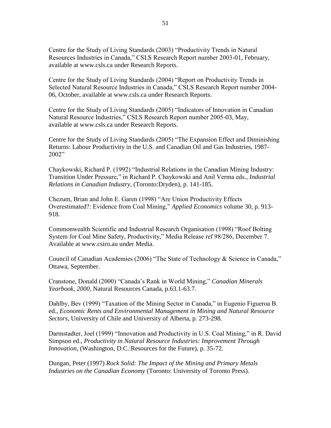Centre for the Study of Living Standards (2003) "Productivity Trends in Natural Resources Industries in Canada," CSLS Research Report number 2003-01, February, available at www.csls.ca under Research Reports.

Centre for the Study of Living Standards (2004) "Report on Productivity Trends in Selected Natural Resource Industries in Canada," CSLS Research Report number 2004- 06, October, available at www.csls.ca under Research Reports.

Centre for the Study of Living Standards (2005) "Indicators of Innovation in Canadian Natural Resource Industries," CSLS Research Report number 2005-03, May, available at www.csls.ca under Research Reports.

Centre for the Study of Living Standards (2005) "The Expansion Effect and Diminishing Returns: Labour Productivity in the U.S. and Canadian Oil and Gas Industries, 1987- 2002"

Chaykowski, Richard P. (1992) "Industrial Relations in the Canadian Mining Industry: Transition Under Pressure," in Richard P. Chaykowski and Anil Verma eds., *Industrial Relations in Canadian Industry*, (Toronto:Dryden), p. 141-185.

Chezum, Brian and John E. Garen (1998) "Are Union Productivity Effects Overestimated?: Evidence from Coal Mining," *Applied Economics* volume 30, p. 913- 918.

Commonwealth Scientific and Industrial Research Organisation (1998) "Roof Bolting System for Coal Mine Safety, Productivity," Media Release ref 98/286, December 7. Available at www.csiro.au under Media.

Council of Canadian Academies (2006) "The State of Technology & Science in Canada," Ottawa, September.

Cranstone, Donald (2000) "Canada"s Rank in World Mining," *Canadian Minerals Yearbook, 2000*, Natural Resources Canada, p.63.1-63.7.

Dahlby, Bev (1999) "Taxation of the Mining Sector in Canada," in Eugenio Figueroa B. ed., *Economic Rents and Environmental Management in Mining and Natural Resource Sectors*, University of Chile and University of Alberta, p. 273-298.

Darmstadter, Joel (1999) "Innovation and Productivity in U.S. Coal Mining," in R. David Simpson ed., *Productivity in Natural Resource Industries: Improvement Through Innovation*, (Washington, D.C.:Resources for the Future), p. 35-72.

Dungan, Peter (1997) *Rock Solid: The Impact of the Mining and Primary Metals Industries on the Canadian Economy* (Toronto: University of Toronto Press).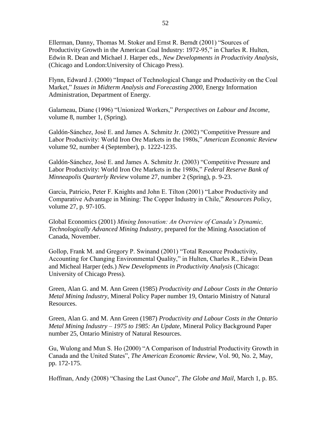Ellerman, Danny, Thomas M. Stoker and Ernst R. Berndt (2001) "Sources of Productivity Growth in the American Coal Industry: 1972-95," in Charles R. Hulten, Edwin R. Dean and Michael J. Harper eds., *New Developments in Productivity Analysis*, (Chicago and London:University of Chicago Press).

Flynn, Edward J. (2000) "Impact of Technological Change and Productivity on the Coal Market," *Issues in Midterm Analysis and Forecasting 2000*, Energy Information Administration, Department of Energy.

Galarneau, Diane (1996) "Unionized Workers," *Perspectives on Labour and Income*, volume 8, number 1, (Spring).

Galdón-Sánchez, José E. and James A. Schmitz Jr. (2002) "Competitive Pressure and Labor Productivity: World Iron Ore Markets in the 1980s," *American Economic Review* volume 92, number 4 (September), p. 1222-1235.

Galdón-Sánchez, José E. and James A. Schmitz Jr. (2003) "Competitive Pressure and Labor Productivity: World Iron Ore Markets in the 1980s," *Federal Reserve Bank of Minneapolis Quarterly Review* volume 27, number 2 (Spring), p. 9-23.

Garcia, Patricio, Peter F. Knights and John E. Tilton (2001) "Labor Productivity and Comparative Advantage in Mining: The Copper Industry in Chile," *Resources Policy*, volume 27, p. 97-105.

Global Economics (2001) *Mining Innovation: An Overview of Canada's Dynamic, Technologically Advanced Mining Industry*, prepared for the Mining Association of Canada, November.

Gollop, Frank M. and Gregory P. Swinand (2001) "Total Resource Productivity, Accounting for Changing Environmental Quality," in Hulten, Charles R., Edwin Dean and Micheal Harper (eds.) *New Developments in Productivity Analysis* (Chicago: University of Chicago Press).

Green, Alan G. and M. Ann Green (1985) *Productivity and Labour Costs in the Ontario Metal Mining Industry*, Mineral Policy Paper number 19, Ontario Ministry of Natural Resources.

Green, Alan G. and M. Ann Green (1987) *Productivity and Labour Costs in the Ontario Metal Mining Industry – 1975 to 1985: An Update*, Mineral Policy Background Paper number 25, Ontario Ministry of Natural Resources.

Gu, Wulong and Mun S. Ho (2000) "A Comparison of Industrial Productivity Growth in Canada and the United States", *The American Economic Review*, Vol. 90, No. 2, May, pp. 172-175.

Hoffman, Andy (2008) "Chasing the Last Ounce", *The Globe and Mail*, March 1, p. B5.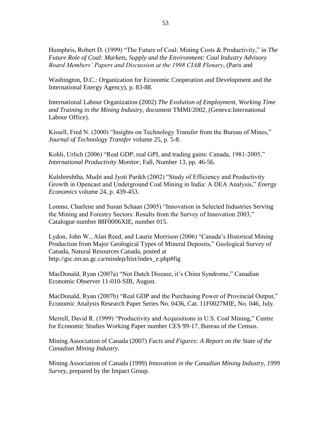Humphris, Robert D. (1999) "The Future of Coal: Mining Costs & Productivity," in *The Future Role of Coal: Markets, Supply and the Environment: Coal Industry Advisory Board Members' Papers and Discussion at the 1998 CIAB Plenary*, (Paris and

Washington, D.C.: Organization for Economic Cooperation and Development and the International Energy Agency), p. 83-88.

International Labour Organization (2002) *The Evolution of Employment, Working Time and Training in the Mining Industry*, document TMMI/2002, (Geneva:International Labour Office).

Kissell, Fred N. (2000) "Insights on Technology Transfer from the Bureau of Mines," *Journal of Technology Transfer* volume 25, p. 5-8.

Kohli, Urlich (2006) "Real GDP, real GPI, and trading gains: Canada, 1981-2005," *International Productivity Monitor*, Fall, Number 13, pp. 46-56.

Kulshreshtha, Mudit and Jyoti Parikh (2002) "Study of Efficiency and Productivity Growth in Opencast and Underground Coal Mining in India: A DEA Analysis," *Energy Economics* volume 24, p. 439-453.

Lonmo, Charlene and Susan Schaan (2005) "Innovation in Selected Industries Serving the Mining and Forestry Sectors: Results from the Survey of Innovation 2003," Catalogue number 88F0006XIE, number 015.

Lydon, John W., Alan Reed, and Laurie Morrison (2006) "Canada"s Historical Mining Production from Major Geological Types of Mineral Deposits," Geological Survey of Canada, Natural Resources Canada, posted at http://gsc.nrcan.gc.ca/mindep/hist/index\_e.php#fig

MacDonald, Ryan (2007a) "Not Dutch Disease, it"s China Syndrome," Canadian Economic Observer 11-010-SIB, August.

MacDonald, Ryan (2007b) "Real GDP and the Purchasing Power of Provincial Output," Economic Analysis Research Paper Series No. 0436, Cat. 11F0027MIE, No. 046, July.

Merrell, David R. (1999) "Productivity and Acquisitions in U.S. Coal Mining," Centre for Economic Studies Working Paper number CES 99-17, Bureau of the Census.

Mining Association of Canada (2007) *Facts and Figures: A Report on the State of the Canadian Mining Industry*.

Mining Association of Canada (1999) *Innovation in the Canadian Mining Industry, 1999 Survey*, prepared by the Impact Group.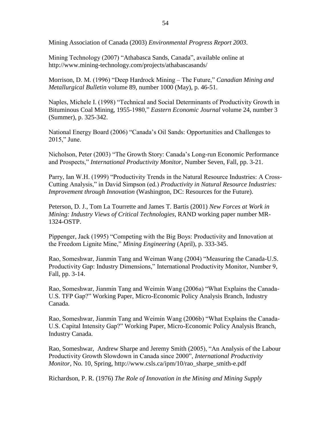Mining Association of Canada (2003) *Environmental Progress Report 2003*.

Mining Technology (2007) "Athabasca Sands, Canada", available online at http://www.mining-technology.com/projects/athabascasands/

Morrison, D. M. (1996) "Deep Hardrock Mining – The Future," *Canadian Mining and Metallurgical Bulletin* volume 89, number 1000 (May), p. 46-51.

Naples, Michele I. (1998) "Technical and Social Determinants of Productivity Growth in Bituminous Coal Mining, 1955-1980," *Eastern Economic Journal* volume 24, number 3 (Summer), p. 325-342.

National Energy Board (2006) "Canada"s Oil Sands: Opportunities and Challenges to 2015," June.

Nicholson, Peter (2003) "The Growth Story: Canada"s Long-run Economic Performance and Prospects," *International Productivity Monitor*, Number Seven, Fall, pp. 3-21.

Parry, Ian W.H. (1999) "Productivity Trends in the Natural Resource Industries: A Cross-Cutting Analysis," in David Simpson (ed.) *Productivity in Natural Resource Industries: Improvement through Innovation* (Washington, DC: Resources for the Future).

Peterson, D. J., Tom La Tourrette and James T. Bartis (2001) *New Forces at Work in Mining: Industry Views of Critical Technologies*, RAND working paper number MR-1324-OSTP.

Pippenger, Jack (1995) "Competing with the Big Boys: Productivity and Innovation at the Freedom Lignite Mine," *Mining Engineering* (April), p. 333-345.

Rao, Someshwar, Jianmin Tang and Weiman Wang (2004) "Measuring the Canada-U.S. Productivity Gap: Industry Dimensions," International Productivity Monitor, Number 9, Fall, pp. 3-14.

Rao, Someshwar, Jianmin Tang and Weimin Wang (2006a) "What Explains the Canada-U.S. TFP Gap?" Working Paper, Micro-Economic Policy Analysis Branch, Industry Canada.

Rao, Someshwar, Jianmin Tang and Weimin Wang (2006b) "What Explains the Canada-U.S. Capital Intensity Gap?" Working Paper, Micro-Economic Policy Analysis Branch, Industry Canada.

Rao, Someshwar, Andrew Sharpe and Jeremy Smith (2005), "An Analysis of the Labour Productivity Growth Slowdown in Canada since 2000", *International Productivity Monitor*, No. 10, Spring, http://www.csls.ca/ipm/10/rao\_sharpe\_smith-e.pdf

Richardson, P. R. (1976) *The Role of Innovation in the Mining and Mining Supply*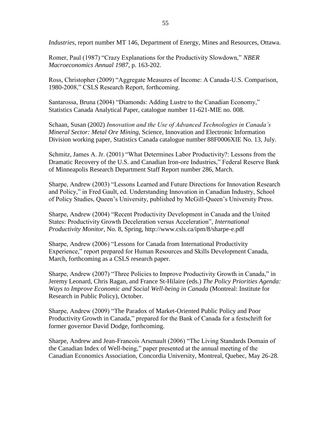*Industries*, report number MT 146, Department of Energy, Mines and Resources, Ottawa.

Romer, Paul (1987) "Crazy Explanations for the Productivity Slowdown," *NBER Macroeconomics Annual 1987*, p. 163-202.

Ross, Christopher (2009) "Aggregate Measures of Income: A Canada-U.S. Comparison, 1980-2008," CSLS Research Report, forthcoming.

Santarossa, Bruna (2004) "Diamonds: Adding Lustre to the Canadian Economy," Statistics Canada Analytical Paper, catalogue number 11-621-MIE no. 008.

Schaan, Susan (2002) *Innovation and the Use of Advanced Technologies in Canada's Mineral Sector: Metal Ore Mining*, Science, Innovation and Electronic Information Division working paper, Statistics Canada catalogue number 88F0006XIE No. 13, July.

Schmitz, James A. Jr. (2001) "What Determines Labor Productivity?: Lessons from the Dramatic Recovery of the U.S. and Canadian Iron-ore Industries," Federal Reserve Bank of Minneapolis Research Department Staff Report number 286, March.

Sharpe, Andrew (2003) "Lessons Learned and Future Directions for Innovation Research and Policy," in Fred Gault, ed. Understanding Innovation in Canadian Industry, School of Policy Studies, Queen"s University, published by McGill-Queen"s University Press.

Sharpe, Andrew (2004) "Recent Productivity Development in Canada and the United States: Productivity Growth Deceleration versus Acceleration", *International Productivity Monitor*, No. 8, Spring, http://www.csls.ca/ipm/8/sharpe-e.pdf

Sharpe, Andrew (2006) "Lessons for Canada from International Productivity Experience," report prepared for Human Resources and Skills Development Canada, March, forthcoming as a CSLS research paper.

Sharpe, Andrew (2007) "Three Policies to Improve Productivity Growth in Canada," in Jeremy Leonard, Chris Ragan, and France St-Hilaire (eds.) *The Policy Priorities Agenda: Ways to Improve Economic and Social Well-being in Canada* (Montreal: Institute for Research in Public Policy), October.

Sharpe, Andrew (2009) "The Paradox of Market-Oriented Public Policy and Poor Productivity Growth in Canada," prepared for the Bank of Canada for a festschrift for former governor David Dodge, forthcoming.

Sharpe, Andrew and Jean-Francois Arsenault (2006) "The Living Standards Domain of the Canadian Index of Well-being," paper presented at the annual meeting of the Canadian Economics Association, Concordia University, Montreal, Quebec, May 26-28.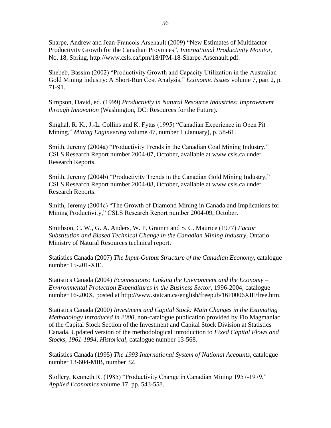Sharpe, Andrew and Jean-Francois Arsenault (2009) "New Estimates of Multifactor Productivity Growth for the Canadian Provinces", *International Productivity Monitor*, No. 18, Spring, http://www.csls.ca/ipm/18/IPM-18-Sharpe-Arsenault.pdf.

Shebeb, Bassim (2002) "Productivity Growth and Capacity Utilization in the Australian Gold Mining Industry: A Short-Run Cost Analysis," *Economic Issues* volume 7, part 2, p. 71-91.

Simpson, David, ed. (1999) *Productivity in Natural Resource Industries: Improvement through Innovation* (Washington, DC: Resources for the Future).

Singhal, R. K., J.-L. Collins and K. Fytas (1995) "Canadian Experience in Open Pit Mining," *Mining Engineering* volume 47, number 1 (January), p. 58-61.

Smith, Jeremy (2004a) "Productivity Trends in the Canadian Coal Mining Industry," CSLS Research Report number 2004-07, October, available at www.csls.ca under Research Reports.

Smith, Jeremy (2004b) "Productivity Trends in the Canadian Gold Mining Industry," CSLS Research Report number 2004-08, October, available at www.csls.ca under Research Reports.

Smith, Jeremy (2004c) "The Growth of Diamond Mining in Canada and Implications for Mining Productivity," CSLS Research Report number 2004-09, October.

Smithson, C. W., G. A. Anders, W. P. Gramm and S. C. Maurice (1977) *Factor Substitution and Biased Technical Change in the Canadian Mining Industry*, Ontario Ministry of Natural Resources technical report.

Statistics Canada (2007) *The Input-Output Structure of the Canadian Economy*, catalogue number 15-201-XIE.

Statistics Canada (2004) *Econnections: Linking the Environment and the Economy – Environmental Protection Expenditures in the Business Sector*, 1996-2004, catalogue number 16-200X, posted at http://www.statcan.ca/english/freepub/16F0006XIE/free.htm.

Statistics Canada (2000) *Investment and Capital Stock: Main Changes in the Estimating Methodology Introduced in 2000*, non-catalogue publication provided by Flo Magmanlac of the Capital Stock Section of the Investment and Capital Stock Division at Statistics Canada. Updated version of the methodological introduction to *Fixed Capital Flows and Stocks, 1961-1994, Historical*, catalogue number 13-568.

Statistics Canada (1995) *The 1993 International System of National Accounts*, catalogue number 13-604-MIB, number 32.

Stollery, Kenneth R. (1985) "Productivity Change in Canadian Mining 1957-1979," *Applied Economics* volume 17, pp. 543-558.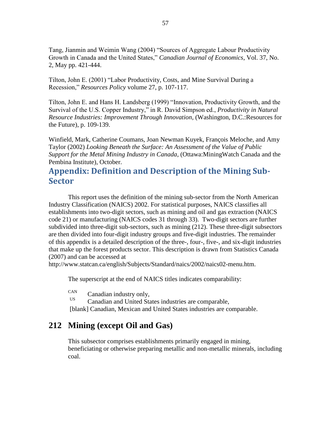Tang, Jianmin and Weimin Wang (2004) "Sources of Aggregate Labour Productivity Growth in Canada and the United States," *Canadian Journal of Economics*, Vol. 37, No. 2, May pp. 421-444.

Tilton, John E. (2001) "Labor Productivity, Costs, and Mine Survival During a Recession," *Resources Policy* volume 27, p. 107-117.

Tilton, John E. and Hans H. Landsberg (1999) "Innovation, Productivity Growth, and the Survival of the U.S. Copper Industry," in R. David Simpson ed., *Productivity in Natural Resource Industries: Improvement Through Innovation*, (Washington, D.C.:Resources for the Future), p. 109-139.

Winfield, Mark, Catherine Coumans, Joan Newman Kuyek, François Meloche, and Amy Taylor (2002) *Looking Beneath the Surface: An Assessment of the Value of Public Support for the Metal Mining Industry in Canada*, (Ottawa:MiningWatch Canada and the Pembina Institute), October.

# <span id="page-60-0"></span>**Appendix: Definition and Description of the Mining Sub-Sector**

This report uses the definition of the mining sub-sector from the North American Industry Classification (NAICS) 2002. For statistical purposes, NAICS classifies all establishments into two-digit sectors, such as mining and oil and gas extraction (NAICS code 21) or manufacturing (NAICS codes 31 through 33). Two-digit sectors are further subdivided into three-digit sub-sectors, such as mining (212). These three-digit subsectors are then divided into four-digit industry groups and five-digit industries. The remainder of this appendix is a detailed description of the three-, four-, five-, and six-digit industries that make up the forest products sector. This description is drawn from Statistics Canada (2007) and can be accessed at

http://www.statcan.ca/english/Subjects/Standard/naics/2002/naics02-menu.htm.

The superscript at the end of NAICS titles indicates comparability:

 $CAN$  Canadian industry only,

US Canadian and United States industries are comparable,

[blank] Canadian, Mexican and United States industries are comparable.

# **212 Mining (except Oil and Gas)**

This subsector comprises establishments primarily engaged in mining, beneficiating or otherwise preparing metallic and non-metallic minerals, including coal.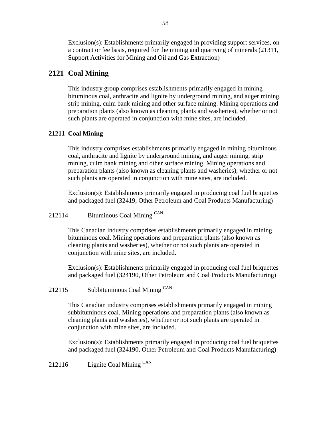Exclusion(s): Establishments primarily engaged in providing support services, on a contract or fee basis, required for the mining and quarrying of minerals (21311, Support Activities for Mining and Oil and Gas Extraction)

# **2121 Coal Mining**

This industry group comprises establishments primarily engaged in mining bituminous coal, anthracite and lignite by underground mining, and auger mining, strip mining, culm bank mining and other surface mining. Mining operations and preparation plants (also known as cleaning plants and washeries), whether or not such plants are operated in conjunction with mine sites, are included.

# **21211 Coal Mining**

This industry comprises establishments primarily engaged in mining bituminous coal, anthracite and lignite by underground mining, and auger mining, strip mining, culm bank mining and other surface mining. Mining operations and preparation plants (also known as cleaning plants and washeries), whether or not such plants are operated in conjunction with mine sites, are included.

Exclusion(s): Establishments primarily engaged in producing coal fuel briquettes and packaged fuel (32419, Other Petroleum and Coal Products Manufacturing)

# 212114 Bituminous Coal Mining CAN

This Canadian industry comprises establishments primarily engaged in mining bituminous coal. Mining operations and preparation plants (also known as cleaning plants and washeries), whether or not such plants are operated in conjunction with mine sites, are included.

Exclusion(s): Establishments primarily engaged in producing coal fuel briquettes and packaged fuel (324190, Other Petroleum and Coal Products Manufacturing)

# 212115 Subbituminous Coal Mining CAN

This Canadian industry comprises establishments primarily engaged in mining subbituminous coal. Mining operations and preparation plants (also known as cleaning plants and washeries), whether or not such plants are operated in conjunction with mine sites, are included.

Exclusion(s): Establishments primarily engaged in producing coal fuel briquettes and packaged fuel (324190, Other Petroleum and Coal Products Manufacturing)

212116 Lignite Coal Mining CAN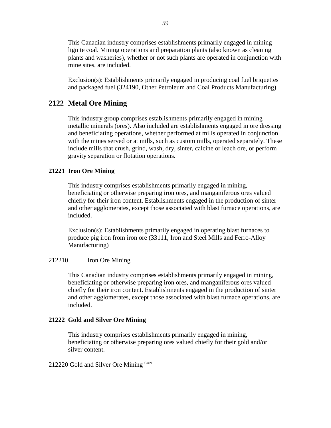This Canadian industry comprises establishments primarily engaged in mining lignite coal. Mining operations and preparation plants (also known as cleaning plants and washeries), whether or not such plants are operated in conjunction with mine sites, are included.

Exclusion(s): Establishments primarily engaged in producing coal fuel briquettes and packaged fuel (324190, Other Petroleum and Coal Products Manufacturing)

# **2122 Metal Ore Mining**

This industry group comprises establishments primarily engaged in mining metallic minerals (ores). Also included are establishments engaged in ore dressing and beneficiating operations, whether performed at mills operated in conjunction with the mines served or at mills, such as custom mills, operated separately. These include mills that crush, grind, wash, dry, sinter, calcine or leach ore, or perform gravity separation or flotation operations.

### **21221 Iron Ore Mining**

This industry comprises establishments primarily engaged in mining, beneficiating or otherwise preparing iron ores, and manganiferous ores valued chiefly for their iron content. Establishments engaged in the production of sinter and other agglomerates, except those associated with blast furnace operations, are included.

Exclusion(s): Establishments primarily engaged in operating blast furnaces to produce pig iron from iron ore (33111, Iron and Steel Mills and Ferro-Alloy Manufacturing)

#### 212210 Iron Ore Mining

This Canadian industry comprises establishments primarily engaged in mining, beneficiating or otherwise preparing iron ores, and manganiferous ores valued chiefly for their iron content. Establishments engaged in the production of sinter and other agglomerates, except those associated with blast furnace operations, are included.

#### **21222 Gold and Silver Ore Mining**

This industry comprises establishments primarily engaged in mining, beneficiating or otherwise preparing ores valued chiefly for their gold and/or silver content.

212220 Gold and Silver Ore Mining CAN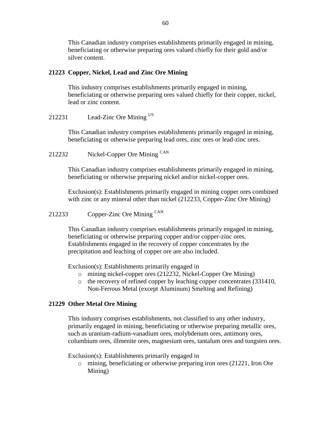This Canadian industry comprises establishments primarily engaged in mining, beneficiating or otherwise preparing ores valued chiefly for their gold and/or silver content.

### **21223 Copper, Nickel, Lead and Zinc Ore Mining**

This industry comprises establishments primarily engaged in mining, beneficiating or otherwise preparing ores valued chiefly for their copper, nickel, lead or zinc content.

### 212231 Lead-Zinc Ore Mining  $^{US}$

This Canadian industry comprises establishments primarily engaged in mining, beneficiating or otherwise preparing lead ores, zinc ores or lead-zinc ores.

212232 Nickel-Copper Ore Mining CAN

This Canadian industry comprises establishments primarily engaged in mining, beneficiating or otherwise preparing nickel and/or nickel-copper ores.

Exclusion(s): Establishments primarily engaged in mining copper ores combined with zinc or any mineral other than nickel (212233, Copper-Zinc Ore Mining)

# 212233 Copper-Zinc Ore Mining CAN

This Canadian industry comprises establishments primarily engaged in mining, beneficiating or otherwise preparing copper and/or copper-zinc ores. Establishments engaged in the recovery of copper concentrates by the precipitation and leaching of copper ore are also included.

Exclusion(s): Establishments primarily engaged in

- o mining nickel-copper ores (212232, Nickel-Copper Ore Mining)
- o the recovery of refined copper by leaching copper concentrates (331410, Non-Ferrous Metal (except Aluminum) Smelting and Refining)

#### **21229 Other Metal Ore Mining**

This industry comprises establishments, not classified to any other industry, primarily engaged in mining, beneficiating or otherwise preparing metallic ores, such as uranium-radium-vanadium ores, molybdenum ores, antimony ores, columbium ores, illmenite ores, magnesium ores, tantalum ores and tungsten ores.

Exclusion(s): Establishments primarily engaged in

o mining, beneficiating or otherwise preparing iron ores (21221, Iron Ore Mining)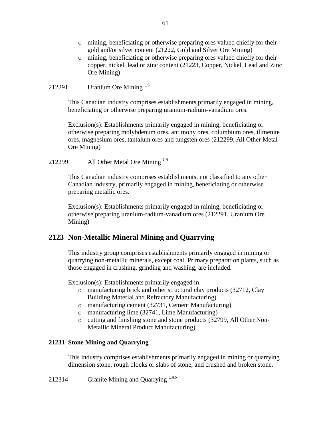- o mining, beneficiating or otherwise preparing ores valued chiefly for their gold and/or silver content (21222, Gold and Silver Ore Mining)
- o mining, beneficiating or otherwise preparing ores valued chiefly for their copper, nickel, lead or zinc content (21223, Copper, Nickel, Lead and Zinc Ore Mining)

# 212291 Uranium Ore Mining US

This Canadian industry comprises establishments primarily engaged in mining, beneficiating or otherwise preparing uranium-radium-vanadium ores.

Exclusion(s): Establishments primarily engaged in mining, beneficiating or otherwise preparing molybdenum ores, antimony ores, columbium ores, illmenite ores, magnesium ores, tantalum ores and tungsten ores (212299, All Other Metal Ore Mining)

#### 212299 All Other Metal Ore Mining US

This Canadian industry comprises establishments, not classified to any other Canadian industry, primarily engaged in mining, beneficiating or otherwise preparing metallic ores.

Exclusion(s): Establishments primarily engaged in mining, beneficiating or otherwise preparing uranium-radium-vanadium ores (212291, Uranium Ore Mining)

# **2123 Non-Metallic Mineral Mining and Quarrying**

This industry group comprises establishments primarily engaged in mining or quarrying non-metallic minerals, except coal. Primary preparation plants, such as those engaged in crushing, grinding and washing, are included.

Exclusion(s): Establishments primarily engaged in:

- o manufacturing brick and other structural clay products (32712, Clay Building Material and Refractory Manufacturing)
- o manufacturing cement (32731, Cement Manufacturing)
- o manufacturing lime (32741, Lime Manufacturing)
- o cutting and finishing stone and stone products (32799, All Other Non-Metallic Mineral Product Manufacturing)

#### **21231 Stone Mining and Quarrying**

This industry comprises establishments primarily engaged in mining or quarrying dimension stone, rough blocks or slabs of stone, and crushed and broken stone.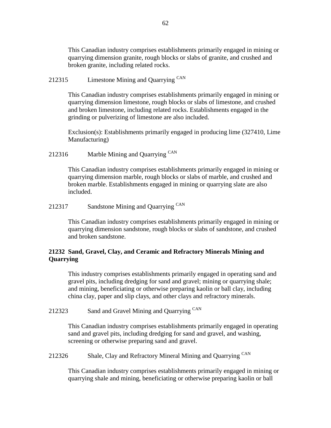This Canadian industry comprises establishments primarily engaged in mining or quarrying dimension granite, rough blocks or slabs of granite, and crushed and broken granite, including related rocks.

212315 Limestone Mining and Ouarrying  $\frac{CAN}{CAN}$ 

This Canadian industry comprises establishments primarily engaged in mining or quarrying dimension limestone, rough blocks or slabs of limestone, and crushed and broken limestone, including related rocks. Establishments engaged in the grinding or pulverizing of limestone are also included.

Exclusion(s): Establishments primarily engaged in producing lime (327410, Lime Manufacturing)

212316 Marble Mining and Quarrying  $\frac{CAN}{CAN}$ 

This Canadian industry comprises establishments primarily engaged in mining or quarrying dimension marble, rough blocks or slabs of marble, and crushed and broken marble. Establishments engaged in mining or quarrying slate are also included.

212317 Sandstone Mining and Ouarrying CAN

This Canadian industry comprises establishments primarily engaged in mining or quarrying dimension sandstone, rough blocks or slabs of sandstone, and crushed and broken sandstone.

#### **21232 Sand, Gravel, Clay, and Ceramic and Refractory Minerals Mining and Quarrying**

This industry comprises establishments primarily engaged in operating sand and gravel pits, including dredging for sand and gravel; mining or quarrying shale; and mining, beneficiating or otherwise preparing kaolin or ball clay, including china clay, paper and slip clays, and other clays and refractory minerals.

212323 Sand and Gravel Mining and Quarrying  $<sup>CAN</sup>$ </sup>

This Canadian industry comprises establishments primarily engaged in operating sand and gravel pits, including dredging for sand and gravel, and washing, screening or otherwise preparing sand and gravel.

212326 Shale, Clay and Refractory Mineral Mining and Quarrying CAN

This Canadian industry comprises establishments primarily engaged in mining or quarrying shale and mining, beneficiating or otherwise preparing kaolin or ball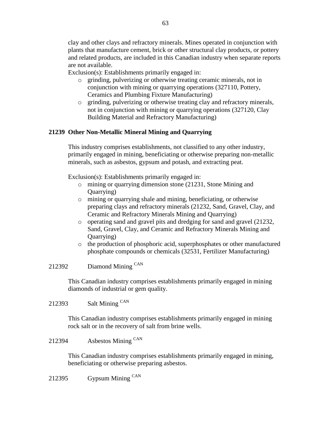clay and other clays and refractory minerals. Mines operated in conjunction with plants that manufacture cement, brick or other structural clay products, or pottery and related products, are included in this Canadian industry when separate reports are not available.

Exclusion(s): Establishments primarily engaged in:

- o grinding, pulverizing or otherwise treating ceramic minerals, not in conjunction with mining or quarrying operations (327110, Pottery, Ceramics and Plumbing Fixture Manufacturing)
- o grinding, pulverizing or otherwise treating clay and refractory minerals, not in conjunction with mining or quarrying operations (327120, Clay Building Material and Refractory Manufacturing)

# **21239 Other Non-Metallic Mineral Mining and Quarrying**

This industry comprises establishments, not classified to any other industry, primarily engaged in mining, beneficiating or otherwise preparing non-metallic minerals, such as asbestos, gypsum and potash, and extracting peat.

Exclusion(s): Establishments primarily engaged in:

- o mining or quarrying dimension stone (21231, Stone Mining and Quarrying)
- o mining or quarrying shale and mining, beneficiating, or otherwise preparing clays and refractory minerals (21232, Sand, Gravel, Clay, and Ceramic and Refractory Minerals Mining and Quarrying)
- o operating sand and gravel pits and dredging for sand and gravel (21232, Sand, Gravel, Clay, and Ceramic and Refractory Minerals Mining and Quarrying)
- $\circ$  the production of phosphoric acid, superphosphates or other manufactured phosphate compounds or chemicals (32531, Fertilizer Manufacturing)

#### $212392$  Diamond Mining CAN

This Canadian industry comprises establishments primarily engaged in mining diamonds of industrial or gem quality.

#### 212393 Salt Mining  $\frac{CAN}{A}$

This Canadian industry comprises establishments primarily engaged in mining rock salt or in the recovery of salt from brine wells.

# 212394 Asbestos Mining CAN

This Canadian industry comprises establishments primarily engaged in mining, beneficiating or otherwise preparing asbestos.

212395 Gypsum Mining  $CAN$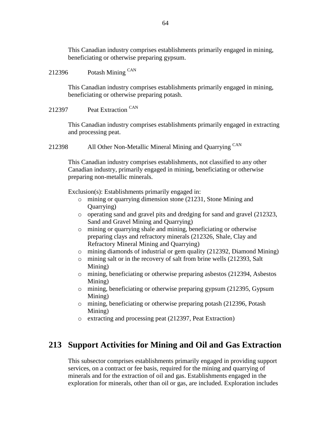This Canadian industry comprises establishments primarily engaged in mining, beneficiating or otherwise preparing gypsum.

212396 Potash Mining  $\text{CAN}$ 

This Canadian industry comprises establishments primarily engaged in mining, beneficiating or otherwise preparing potash.

212397 Peat Extraction CAN

This Canadian industry comprises establishments primarily engaged in extracting and processing peat.

212398 All Other Non-Metallic Mineral Mining and Quarrying CAN

This Canadian industry comprises establishments, not classified to any other Canadian industry, primarily engaged in mining, beneficiating or otherwise preparing non-metallic minerals.

Exclusion(s): Establishments primarily engaged in:

- o mining or quarrying dimension stone (21231, Stone Mining and Quarrying)
- o operating sand and gravel pits and dredging for sand and gravel (212323, Sand and Gravel Mining and Quarrying)
- o mining or quarrying shale and mining, beneficiating or otherwise preparing clays and refractory minerals (212326, Shale, Clay and Refractory Mineral Mining and Quarrying)
- o mining diamonds of industrial or gem quality (212392, Diamond Mining)
- o mining salt or in the recovery of salt from brine wells (212393, Salt Mining)
- o mining, beneficiating or otherwise preparing asbestos (212394, Asbestos Mining)
- o mining, beneficiating or otherwise preparing gypsum (212395, Gypsum Mining)
- o mining, beneficiating or otherwise preparing potash (212396, Potash Mining)
- o extracting and processing peat (212397, Peat Extraction)

# **213 Support Activities for Mining and Oil and Gas Extraction**

This subsector comprises establishments primarily engaged in providing support services, on a contract or fee basis, required for the mining and quarrying of minerals and for the extraction of oil and gas. Establishments engaged in the exploration for minerals, other than oil or gas, are included. Exploration includes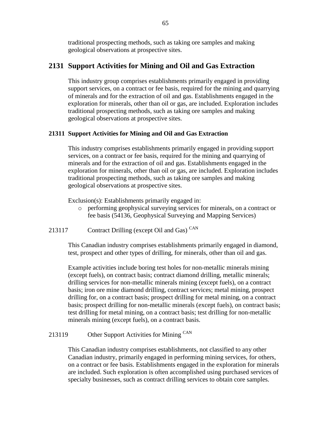traditional prospecting methods, such as taking ore samples and making geological observations at prospective sites.

# **2131 Support Activities for Mining and Oil and Gas Extraction**

This industry group comprises establishments primarily engaged in providing support services, on a contract or fee basis, required for the mining and quarrying of minerals and for the extraction of oil and gas. Establishments engaged in the exploration for minerals, other than oil or gas, are included. Exploration includes traditional prospecting methods, such as taking ore samples and making geological observations at prospective sites.

# **21311 Support Activities for Mining and Oil and Gas Extraction**

This industry comprises establishments primarily engaged in providing support services, on a contract or fee basis, required for the mining and quarrying of minerals and for the extraction of oil and gas. Establishments engaged in the exploration for minerals, other than oil or gas, are included. Exploration includes traditional prospecting methods, such as taking ore samples and making geological observations at prospective sites.

Exclusion(s): Establishments primarily engaged in:

- o performing geophysical surveying services for minerals, on a contract or fee basis (54136, Geophysical Surveying and Mapping Services)
- 213117 Contract Drilling (except Oil and Gas)<sup>CAN</sup>

This Canadian industry comprises establishments primarily engaged in diamond, test, prospect and other types of drilling, for minerals, other than oil and gas.

Example activities include boring test holes for non-metallic minerals mining (except fuels), on contract basis; contract diamond drilling, metallic minerals; drilling services for non-metallic minerals mining (except fuels), on a contract basis; iron ore mine diamond drilling, contract services; metal mining, prospect drilling for, on a contract basis; prospect drilling for metal mining, on a contract basis; prospect drilling for non-metallic minerals (except fuels), on contract basis; test drilling for metal mining, on a contract basis; test drilling for non-metallic minerals mining (except fuels), on a contract basis.

213119 Other Support Activities for Mining CAN

This Canadian industry comprises establishments, not classified to any other Canadian industry, primarily engaged in performing mining services, for others, on a contract or fee basis. Establishments engaged in the exploration for minerals are included. Such exploration is often accomplished using purchased services of specialty businesses, such as contract drilling services to obtain core samples.